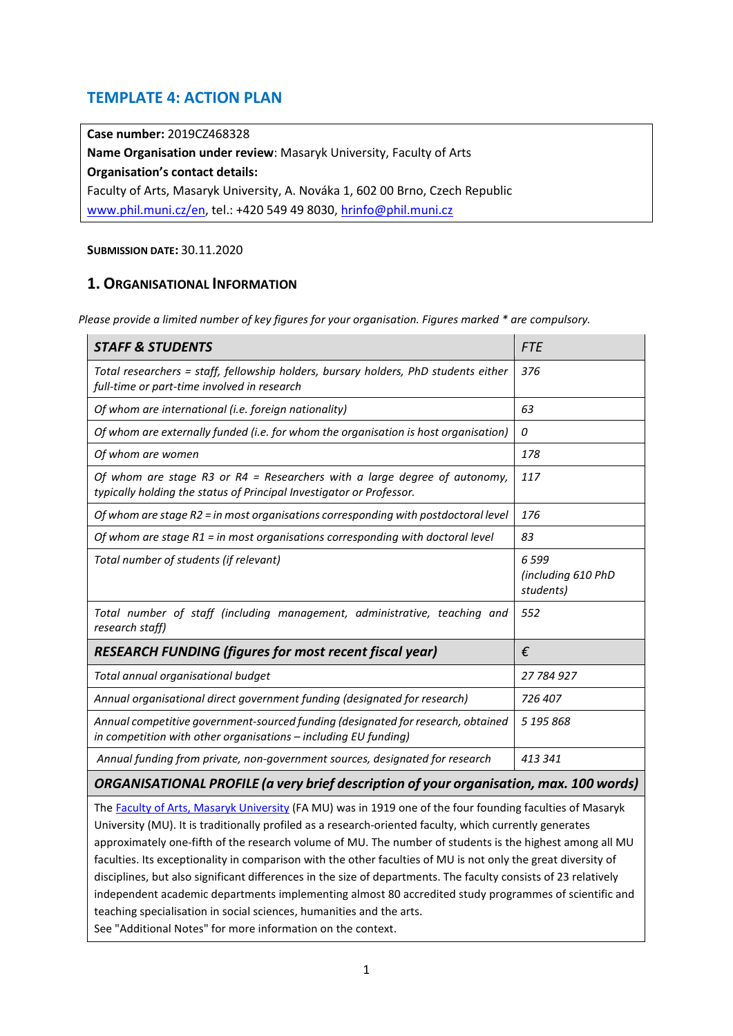# **TEMPLATE 4: ACTION PLAN**

**Case number:** 2019CZ468328

**Name Organisation under review**: Masaryk University, Faculty of Arts **Organisation's contact details:** Faculty of Arts, Masaryk University, A. Nováka 1, 602 00 Brno, Czech Republic [www.phil.muni.cz/en,](http://www.phil.muni.cz/en) tel.: +420 549 49 8030, [hrinfo@phil.muni.cz](mailto:hrinfo@phil.muni.cz)

### **SUBMISSION DATE:** 30.11.2020

## **1. ORGANISATIONAL INFORMATION**

*Please provide a limited number of key figures for your organisation. Figures marked \* are compulsory.* 

| <b>STAFF &amp; STUDENTS</b>                                                                                                                         | <b>FTE</b>                              |
|-----------------------------------------------------------------------------------------------------------------------------------------------------|-----------------------------------------|
| Total researchers = staff, fellowship holders, bursary holders, PhD students either<br>full-time or part-time involved in research                  | 376                                     |
| Of whom are international (i.e. foreign nationality)                                                                                                | 63                                      |
| Of whom are externally funded (i.e. for whom the organisation is host organisation)                                                                 | 0                                       |
| Of whom are women                                                                                                                                   | 178                                     |
| Of whom are stage R3 or R4 = Researchers with a large degree of autonomy,<br>typically holding the status of Principal Investigator or Professor.   | 117                                     |
| Of whom are stage $R2$ = in most organisations corresponding with postdoctoral level                                                                | 176                                     |
| Of whom are stage $R1$ = in most organisations corresponding with doctoral level                                                                    | 83                                      |
| Total number of students (if relevant)                                                                                                              | 6599<br>(including 610 PhD<br>students) |
| Total number of staff (including management, administrative, teaching and<br>research staff)                                                        | 552                                     |
| <b>RESEARCH FUNDING (figures for most recent fiscal year)</b>                                                                                       | €                                       |
| Total annual organisational budget                                                                                                                  | 27 784 927                              |
| Annual organisational direct government funding (designated for research)                                                                           | 726 407                                 |
| Annual competitive government-sourced funding (designated for research, obtained<br>in competition with other organisations - including EU funding) | 5 195 868                               |
| Annual funding from private, non-government sources, designated for research                                                                        | 413.341                                 |
| ORGANISATIONAL PROFILE (a very brief description of your organisation, max. 100 words)                                                              |                                         |

The [Faculty of Arts, Masaryk University](https://www.phil.muni.cz/en/about-us) (FA MU) was in 1919 one of the four founding faculties of Masaryk University (MU). It is traditionally profiled as a research-oriented faculty, which currently generates approximately one-fifth of the research volume of MU. The number of students is the highest among all MU faculties. Its exceptionality in comparison with the other faculties of MU is not only the great diversity of disciplines, but also significant differences in the size of departments. The faculty consists of 23 relatively independent academic departments implementing almost 80 accredited study programmes of scientific and teaching specialisation in social sciences, humanities and the arts.

See "Additional Notes" for more information on the context.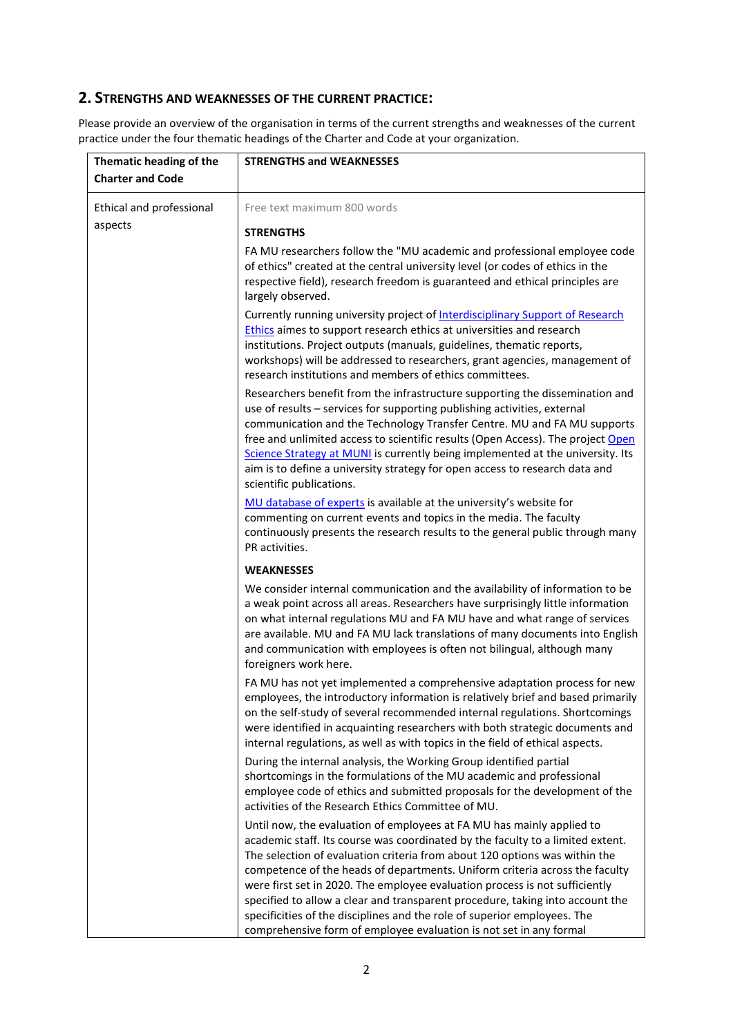### **2. STRENGTHS AND WEAKNESSES OF THE CURRENT PRACTICE:**

Please provide an overview of the organisation in terms of the current strengths and weaknesses of the current practice under the four thematic headings of the Charter and Code at your organization.

| Thematic heading of the<br><b>Charter and Code</b> | <b>STRENGTHS and WEAKNESSES</b>                                                                                                                                                                                                                                                                                                                                                                                                                                                                                     |
|----------------------------------------------------|---------------------------------------------------------------------------------------------------------------------------------------------------------------------------------------------------------------------------------------------------------------------------------------------------------------------------------------------------------------------------------------------------------------------------------------------------------------------------------------------------------------------|
| Ethical and professional                           | Free text maximum 800 words                                                                                                                                                                                                                                                                                                                                                                                                                                                                                         |
| aspects                                            | <b>STRENGTHS</b>                                                                                                                                                                                                                                                                                                                                                                                                                                                                                                    |
|                                                    | FA MU researchers follow the "MU academic and professional employee code<br>of ethics" created at the central university level (or codes of ethics in the<br>respective field), research freedom is guaranteed and ethical principles are<br>largely observed.                                                                                                                                                                                                                                                      |
|                                                    | Currently running university project of <b>Interdisciplinary Support of Research</b><br>Ethics aimes to support research ethics at universities and research<br>institutions. Project outputs (manuals, guidelines, thematic reports,<br>workshops) will be addressed to researchers, grant agencies, management of<br>research institutions and members of ethics committees.                                                                                                                                      |
|                                                    | Researchers benefit from the infrastructure supporting the dissemination and<br>use of results - services for supporting publishing activities, external<br>communication and the Technology Transfer Centre. MU and FA MU supports<br>free and unlimited access to scientific results (Open Access). The project Open<br>Science Strategy at MUNI is currently being implemented at the university. Its<br>aim is to define a university strategy for open access to research data and<br>scientific publications. |
|                                                    | MU database of experts is available at the university's website for<br>commenting on current events and topics in the media. The faculty<br>continuously presents the research results to the general public through many<br>PR activities.                                                                                                                                                                                                                                                                         |
|                                                    | <b>WEAKNESSES</b>                                                                                                                                                                                                                                                                                                                                                                                                                                                                                                   |
|                                                    | We consider internal communication and the availability of information to be<br>a weak point across all areas. Researchers have surprisingly little information<br>on what internal regulations MU and FA MU have and what range of services<br>are available. MU and FA MU lack translations of many documents into English<br>and communication with employees is often not bilingual, although many<br>foreigners work here.                                                                                     |
|                                                    | FA MU has not yet implemented a comprehensive adaptation process for new<br>employees, the introductory information is relatively brief and based primarily<br>on the self-study of several recommended internal regulations. Shortcomings<br>were identified in acquainting researchers with both strategic documents and<br>internal regulations, as well as with topics in the field of ethical aspects.                                                                                                         |
|                                                    | During the internal analysis, the Working Group identified partial<br>shortcomings in the formulations of the MU academic and professional<br>employee code of ethics and submitted proposals for the development of the<br>activities of the Research Ethics Committee of MU.                                                                                                                                                                                                                                      |
|                                                    | Until now, the evaluation of employees at FA MU has mainly applied to<br>academic staff. Its course was coordinated by the faculty to a limited extent.<br>The selection of evaluation criteria from about 120 options was within the<br>competence of the heads of departments. Uniform criteria across the faculty<br>were first set in 2020. The employee evaluation process is not sufficiently<br>specified to allow a clear and transparent procedure, taking into account the                                |
|                                                    | specificities of the disciplines and the role of superior employees. The<br>comprehensive form of employee evaluation is not set in any formal                                                                                                                                                                                                                                                                                                                                                                      |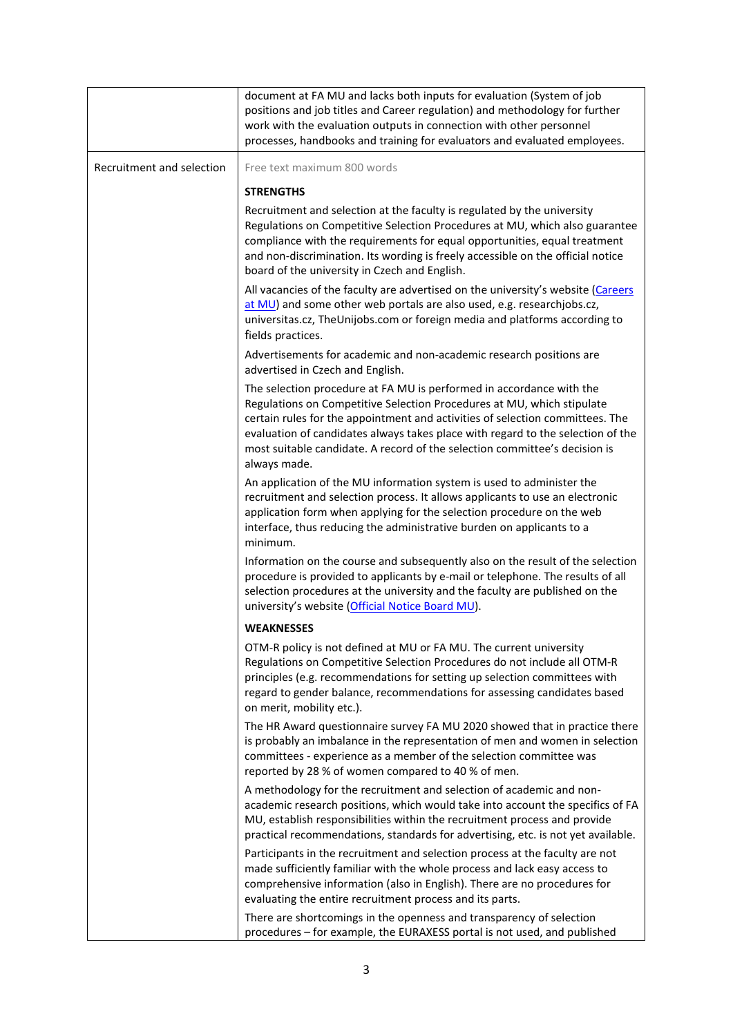|                           | document at FA MU and lacks both inputs for evaluation (System of job<br>positions and job titles and Career regulation) and methodology for further<br>work with the evaluation outputs in connection with other personnel<br>processes, handbooks and training for evaluators and evaluated employees.                                                                                                                                                    |
|---------------------------|-------------------------------------------------------------------------------------------------------------------------------------------------------------------------------------------------------------------------------------------------------------------------------------------------------------------------------------------------------------------------------------------------------------------------------------------------------------|
| Recruitment and selection | Free text maximum 800 words                                                                                                                                                                                                                                                                                                                                                                                                                                 |
|                           | <b>STRENGTHS</b>                                                                                                                                                                                                                                                                                                                                                                                                                                            |
|                           | Recruitment and selection at the faculty is regulated by the university<br>Regulations on Competitive Selection Procedures at MU, which also guarantee<br>compliance with the requirements for equal opportunities, equal treatment<br>and non-discrimination. Its wording is freely accessible on the official notice<br>board of the university in Czech and English.<br>All vacancies of the faculty are advertised on the university's website (Careers |
|                           | at MU) and some other web portals are also used, e.g. researchjobs.cz,<br>universitas.cz, TheUnijobs.com or foreign media and platforms according to<br>fields practices.                                                                                                                                                                                                                                                                                   |
|                           | Advertisements for academic and non-academic research positions are<br>advertised in Czech and English.                                                                                                                                                                                                                                                                                                                                                     |
|                           | The selection procedure at FA MU is performed in accordance with the<br>Regulations on Competitive Selection Procedures at MU, which stipulate<br>certain rules for the appointment and activities of selection committees. The<br>evaluation of candidates always takes place with regard to the selection of the<br>most suitable candidate. A record of the selection committee's decision is<br>always made.                                            |
|                           | An application of the MU information system is used to administer the<br>recruitment and selection process. It allows applicants to use an electronic<br>application form when applying for the selection procedure on the web<br>interface, thus reducing the administrative burden on applicants to a<br>minimum.                                                                                                                                         |
|                           | Information on the course and subsequently also on the result of the selection<br>procedure is provided to applicants by e-mail or telephone. The results of all<br>selection procedures at the university and the faculty are published on the<br>university's website (Official Notice Board MU).                                                                                                                                                         |
|                           | <b>WEAKNESSES</b>                                                                                                                                                                                                                                                                                                                                                                                                                                           |
|                           | OTM-R policy is not defined at MU or FA MU. The current university<br>Regulations on Competitive Selection Procedures do not include all OTM-R<br>principles (e.g. recommendations for setting up selection committees with<br>regard to gender balance, recommendations for assessing candidates based<br>on merit, mobility etc.).                                                                                                                        |
|                           | The HR Award questionnaire survey FA MU 2020 showed that in practice there<br>is probably an imbalance in the representation of men and women in selection<br>committees - experience as a member of the selection committee was<br>reported by 28 % of women compared to 40 % of men.                                                                                                                                                                      |
|                           | A methodology for the recruitment and selection of academic and non-<br>academic research positions, which would take into account the specifics of FA<br>MU, establish responsibilities within the recruitment process and provide<br>practical recommendations, standards for advertising, etc. is not yet available.                                                                                                                                     |
|                           | Participants in the recruitment and selection process at the faculty are not<br>made sufficiently familiar with the whole process and lack easy access to<br>comprehensive information (also in English). There are no procedures for<br>evaluating the entire recruitment process and its parts.                                                                                                                                                           |
|                           | There are shortcomings in the openness and transparency of selection<br>procedures - for example, the EURAXESS portal is not used, and published                                                                                                                                                                                                                                                                                                            |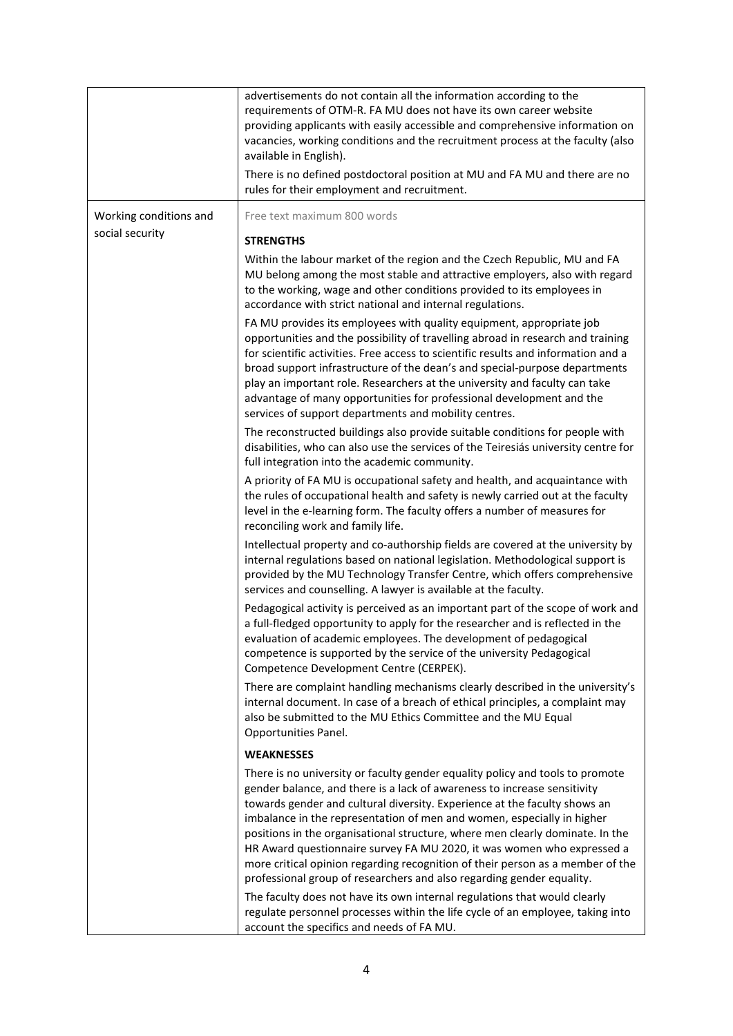|                        | advertisements do not contain all the information according to the<br>requirements of OTM-R. FA MU does not have its own career website<br>providing applicants with easily accessible and comprehensive information on<br>vacancies, working conditions and the recruitment process at the faculty (also<br>available in English).<br>There is no defined postdoctoral position at MU and FA MU and there are no<br>rules for their employment and recruitment.                                                                                                                                                                       |
|------------------------|----------------------------------------------------------------------------------------------------------------------------------------------------------------------------------------------------------------------------------------------------------------------------------------------------------------------------------------------------------------------------------------------------------------------------------------------------------------------------------------------------------------------------------------------------------------------------------------------------------------------------------------|
| Working conditions and | Free text maximum 800 words                                                                                                                                                                                                                                                                                                                                                                                                                                                                                                                                                                                                            |
| social security        | <b>STRENGTHS</b>                                                                                                                                                                                                                                                                                                                                                                                                                                                                                                                                                                                                                       |
|                        | Within the labour market of the region and the Czech Republic, MU and FA<br>MU belong among the most stable and attractive employers, also with regard<br>to the working, wage and other conditions provided to its employees in<br>accordance with strict national and internal regulations.                                                                                                                                                                                                                                                                                                                                          |
|                        | FA MU provides its employees with quality equipment, appropriate job<br>opportunities and the possibility of travelling abroad in research and training<br>for scientific activities. Free access to scientific results and information and a<br>broad support infrastructure of the dean's and special-purpose departments<br>play an important role. Researchers at the university and faculty can take<br>advantage of many opportunities for professional development and the<br>services of support departments and mobility centres.                                                                                             |
|                        | The reconstructed buildings also provide suitable conditions for people with<br>disabilities, who can also use the services of the Teiresiás university centre for<br>full integration into the academic community.                                                                                                                                                                                                                                                                                                                                                                                                                    |
|                        | A priority of FA MU is occupational safety and health, and acquaintance with<br>the rules of occupational health and safety is newly carried out at the faculty<br>level in the e-learning form. The faculty offers a number of measures for<br>reconciling work and family life.                                                                                                                                                                                                                                                                                                                                                      |
|                        | Intellectual property and co-authorship fields are covered at the university by<br>internal regulations based on national legislation. Methodological support is<br>provided by the MU Technology Transfer Centre, which offers comprehensive<br>services and counselling. A lawyer is available at the faculty.                                                                                                                                                                                                                                                                                                                       |
|                        | Pedagogical activity is perceived as an important part of the scope of work and<br>a full-fledged opportunity to apply for the researcher and is reflected in the<br>evaluation of academic employees. The development of pedagogical<br>competence is supported by the service of the university Pedagogical<br>Competence Development Centre (CERPEK).                                                                                                                                                                                                                                                                               |
|                        | There are complaint handling mechanisms clearly described in the university's<br>internal document. In case of a breach of ethical principles, a complaint may<br>also be submitted to the MU Ethics Committee and the MU Equal<br>Opportunities Panel.                                                                                                                                                                                                                                                                                                                                                                                |
|                        | <b>WEAKNESSES</b>                                                                                                                                                                                                                                                                                                                                                                                                                                                                                                                                                                                                                      |
|                        | There is no university or faculty gender equality policy and tools to promote<br>gender balance, and there is a lack of awareness to increase sensitivity<br>towards gender and cultural diversity. Experience at the faculty shows an<br>imbalance in the representation of men and women, especially in higher<br>positions in the organisational structure, where men clearly dominate. In the<br>HR Award questionnaire survey FA MU 2020, it was women who expressed a<br>more critical opinion regarding recognition of their person as a member of the<br>professional group of researchers and also regarding gender equality. |
|                        | The faculty does not have its own internal regulations that would clearly<br>regulate personnel processes within the life cycle of an employee, taking into<br>account the specifics and needs of FA MU.                                                                                                                                                                                                                                                                                                                                                                                                                               |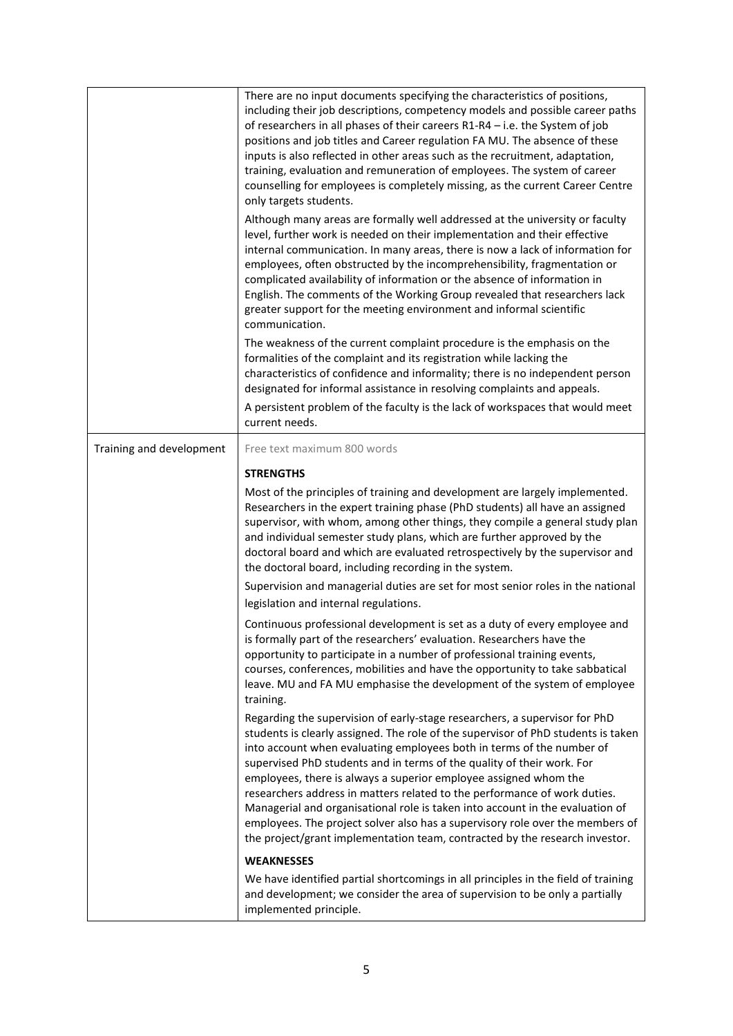|                          | There are no input documents specifying the characteristics of positions,<br>including their job descriptions, competency models and possible career paths<br>of researchers in all phases of their careers $R1-R4 - i.e.$ the System of job<br>positions and job titles and Career regulation FA MU. The absence of these<br>inputs is also reflected in other areas such as the recruitment, adaptation,<br>training, evaluation and remuneration of employees. The system of career<br>counselling for employees is completely missing, as the current Career Centre<br>only targets students.                                                                                                                    |
|--------------------------|----------------------------------------------------------------------------------------------------------------------------------------------------------------------------------------------------------------------------------------------------------------------------------------------------------------------------------------------------------------------------------------------------------------------------------------------------------------------------------------------------------------------------------------------------------------------------------------------------------------------------------------------------------------------------------------------------------------------|
|                          | Although many areas are formally well addressed at the university or faculty<br>level, further work is needed on their implementation and their effective<br>internal communication. In many areas, there is now a lack of information for<br>employees, often obstructed by the incomprehensibility, fragmentation or<br>complicated availability of information or the absence of information in<br>English. The comments of the Working Group revealed that researchers lack<br>greater support for the meeting environment and informal scientific<br>communication.                                                                                                                                             |
|                          | The weakness of the current complaint procedure is the emphasis on the<br>formalities of the complaint and its registration while lacking the<br>characteristics of confidence and informality; there is no independent person<br>designated for informal assistance in resolving complaints and appeals.<br>A persistent problem of the faculty is the lack of workspaces that would meet<br>current needs.                                                                                                                                                                                                                                                                                                         |
| Training and development | Free text maximum 800 words                                                                                                                                                                                                                                                                                                                                                                                                                                                                                                                                                                                                                                                                                          |
|                          | <b>STRENGTHS</b>                                                                                                                                                                                                                                                                                                                                                                                                                                                                                                                                                                                                                                                                                                     |
|                          | Most of the principles of training and development are largely implemented.<br>Researchers in the expert training phase (PhD students) all have an assigned<br>supervisor, with whom, among other things, they compile a general study plan<br>and individual semester study plans, which are further approved by the<br>doctoral board and which are evaluated retrospectively by the supervisor and<br>the doctoral board, including recording in the system.                                                                                                                                                                                                                                                      |
|                          | Supervision and managerial duties are set for most senior roles in the national<br>legislation and internal regulations.                                                                                                                                                                                                                                                                                                                                                                                                                                                                                                                                                                                             |
|                          | Continuous professional development is set as a duty of every employee and<br>is formally part of the researchers' evaluation. Researchers have the<br>opportunity to participate in a number of professional training events,<br>courses, conferences, mobilities and have the opportunity to take sabbatical<br>leave. MU and FA MU emphasise the development of the system of employee<br>training.                                                                                                                                                                                                                                                                                                               |
|                          | Regarding the supervision of early-stage researchers, a supervisor for PhD<br>students is clearly assigned. The role of the supervisor of PhD students is taken<br>into account when evaluating employees both in terms of the number of<br>supervised PhD students and in terms of the quality of their work. For<br>employees, there is always a superior employee assigned whom the<br>researchers address in matters related to the performance of work duties.<br>Managerial and organisational role is taken into account in the evaluation of<br>employees. The project solver also has a supervisory role over the members of<br>the project/grant implementation team, contracted by the research investor. |
|                          | <b>WEAKNESSES</b>                                                                                                                                                                                                                                                                                                                                                                                                                                                                                                                                                                                                                                                                                                    |
|                          | We have identified partial shortcomings in all principles in the field of training<br>and development; we consider the area of supervision to be only a partially<br>implemented principle.                                                                                                                                                                                                                                                                                                                                                                                                                                                                                                                          |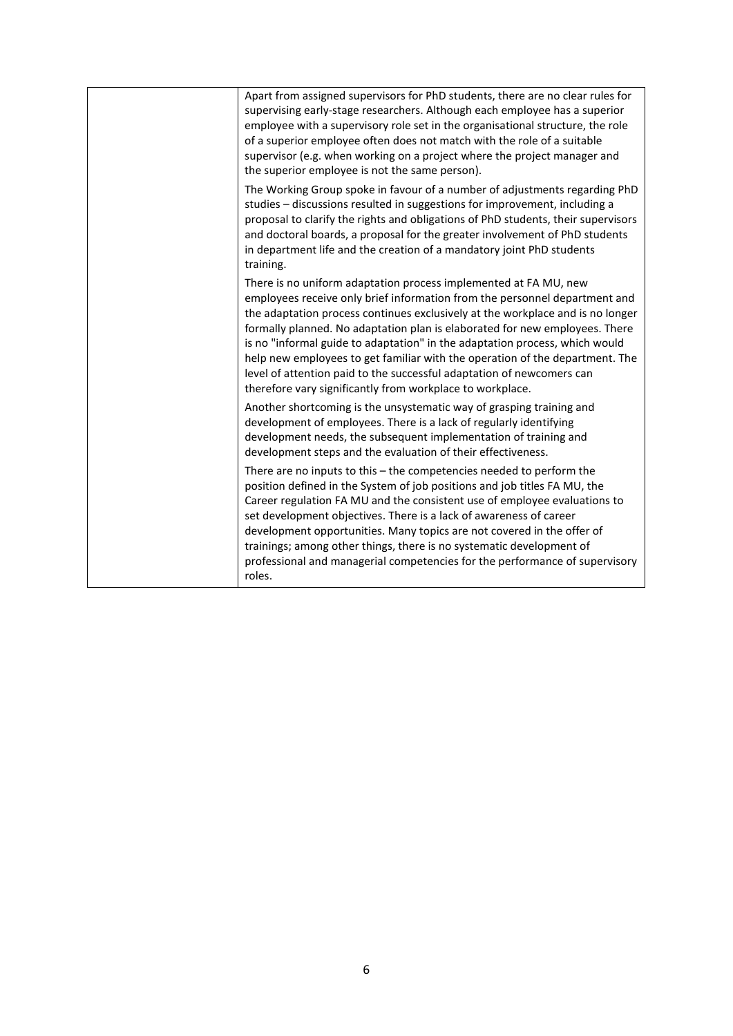| Apart from assigned supervisors for PhD students, there are no clear rules for<br>supervising early-stage researchers. Although each employee has a superior<br>employee with a supervisory role set in the organisational structure, the role<br>of a superior employee often does not match with the role of a suitable<br>supervisor (e.g. when working on a project where the project manager and<br>the superior employee is not the same person).                                                                                                                                                              |
|----------------------------------------------------------------------------------------------------------------------------------------------------------------------------------------------------------------------------------------------------------------------------------------------------------------------------------------------------------------------------------------------------------------------------------------------------------------------------------------------------------------------------------------------------------------------------------------------------------------------|
| The Working Group spoke in favour of a number of adjustments regarding PhD<br>studies - discussions resulted in suggestions for improvement, including a<br>proposal to clarify the rights and obligations of PhD students, their supervisors<br>and doctoral boards, a proposal for the greater involvement of PhD students<br>in department life and the creation of a mandatory joint PhD students<br>training.                                                                                                                                                                                                   |
| There is no uniform adaptation process implemented at FA MU, new<br>employees receive only brief information from the personnel department and<br>the adaptation process continues exclusively at the workplace and is no longer<br>formally planned. No adaptation plan is elaborated for new employees. There<br>is no "informal guide to adaptation" in the adaptation process, which would<br>help new employees to get familiar with the operation of the department. The<br>level of attention paid to the successful adaptation of newcomers can<br>therefore vary significantly from workplace to workplace. |
| Another shortcoming is the unsystematic way of grasping training and<br>development of employees. There is a lack of regularly identifying<br>development needs, the subsequent implementation of training and<br>development steps and the evaluation of their effectiveness.                                                                                                                                                                                                                                                                                                                                       |
| There are no inputs to this – the competencies needed to perform the<br>position defined in the System of job positions and job titles FA MU, the<br>Career regulation FA MU and the consistent use of employee evaluations to<br>set development objectives. There is a lack of awareness of career<br>development opportunities. Many topics are not covered in the offer of<br>trainings; among other things, there is no systematic development of<br>professional and managerial competencies for the performance of supervisory<br>roles.                                                                      |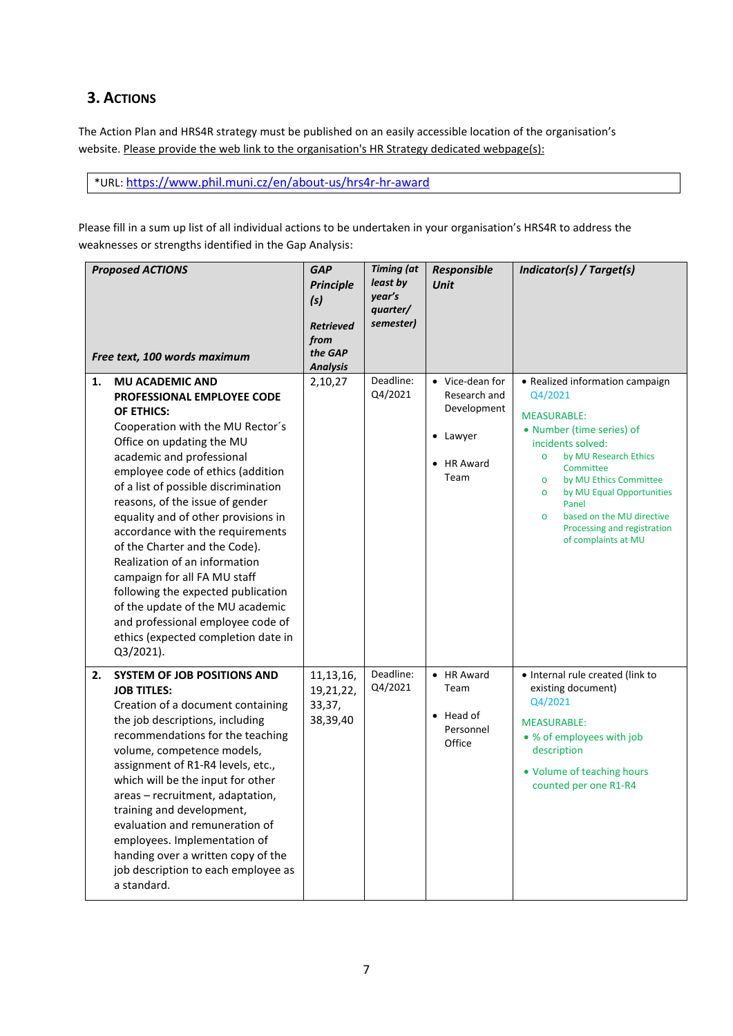# **3. ACTIONS**

The Action Plan and HRS4R strategy must be published on an easily accessible location of the organisation's website. Please provide the web link to the organisation's HR Strategy dedicated webpage(s):

\*URL[: https://www.phil.muni.cz/en/about-us/hrs4r-hr-award](https://www.phil.muni.cz/en/about-us/hrs4r-hr-award)

Please fill in a sum up list of all individual actions to be undertaken in your organisation's HRS4R to address the weaknesses or strengths identified in the Gap Analysis:

|    | <b>Proposed ACTIONS</b><br>Free text, 100 words maximum                                                                                                                                                                                                                                                                                                                                                                                                                                                                                                                                                                          | <b>GAP</b><br><b>Principle</b><br>(s)<br><b>Retrieved</b><br>from<br>the GAP<br><b>Analysis</b> | <b>Timing</b> (at<br>least by<br>year's<br>quarter/<br>semester) | Responsible<br><b>Unit</b>                                                       | Indicator(s) / Target(s)                                                                                                                                                                                                                                                                                                                                 |
|----|----------------------------------------------------------------------------------------------------------------------------------------------------------------------------------------------------------------------------------------------------------------------------------------------------------------------------------------------------------------------------------------------------------------------------------------------------------------------------------------------------------------------------------------------------------------------------------------------------------------------------------|-------------------------------------------------------------------------------------------------|------------------------------------------------------------------|----------------------------------------------------------------------------------|----------------------------------------------------------------------------------------------------------------------------------------------------------------------------------------------------------------------------------------------------------------------------------------------------------------------------------------------------------|
| 1. | <b>MU ACADEMIC AND</b><br>PROFESSIONAL EMPLOYEE CODE<br>OF ETHICS:<br>Cooperation with the MU Rector's<br>Office on updating the MU<br>academic and professional<br>employee code of ethics (addition<br>of a list of possible discrimination<br>reasons, of the issue of gender<br>equality and of other provisions in<br>accordance with the requirements<br>of the Charter and the Code).<br>Realization of an information<br>campaign for all FA MU staff<br>following the expected publication<br>of the update of the MU academic<br>and professional employee code of<br>ethics (expected completion date in<br>Q3/2021). | 2,10,27                                                                                         | Deadline:<br>Q4/2021                                             | • Vice-dean for<br>Research and<br>Development<br>• Lawyer<br>• HR Award<br>Team | • Realized information campaign<br>Q4/2021<br><b>MEASURABLE:</b><br>• Number (time series) of<br>incidents solved:<br>by MU Research Ethics<br>$\circ$<br>Committee<br>by MU Ethics Committee<br>$\circ$<br>by MU Equal Opportunities<br>$\circ$<br>Panel<br>based on the MU directive<br>$\Omega$<br>Processing and registration<br>of complaints at MU |
| 2. | <b>SYSTEM OF JOB POSITIONS AND</b><br><b>JOB TITLES:</b><br>Creation of a document containing<br>the job descriptions, including<br>recommendations for the teaching<br>volume, competence models,<br>assignment of R1-R4 levels, etc.,<br>which will be the input for other<br>areas - recruitment, adaptation,<br>training and development,<br>evaluation and remuneration of<br>employees. Implementation of<br>handing over a written copy of the<br>job description to each employee as<br>a standard.                                                                                                                      | 11, 13, 16,<br>19,21,22,<br>33,37,<br>38,39,40                                                  | Deadline:<br>Q4/2021                                             | • HR Award<br>Team<br>$\bullet$ Head of<br>Personnel<br>Office                   | · Internal rule created (link to<br>existing document)<br>Q4/2021<br><b>MEASURABLE:</b><br>• % of employees with job<br>description<br>• Volume of teaching hours<br>counted per one R1-R4                                                                                                                                                               |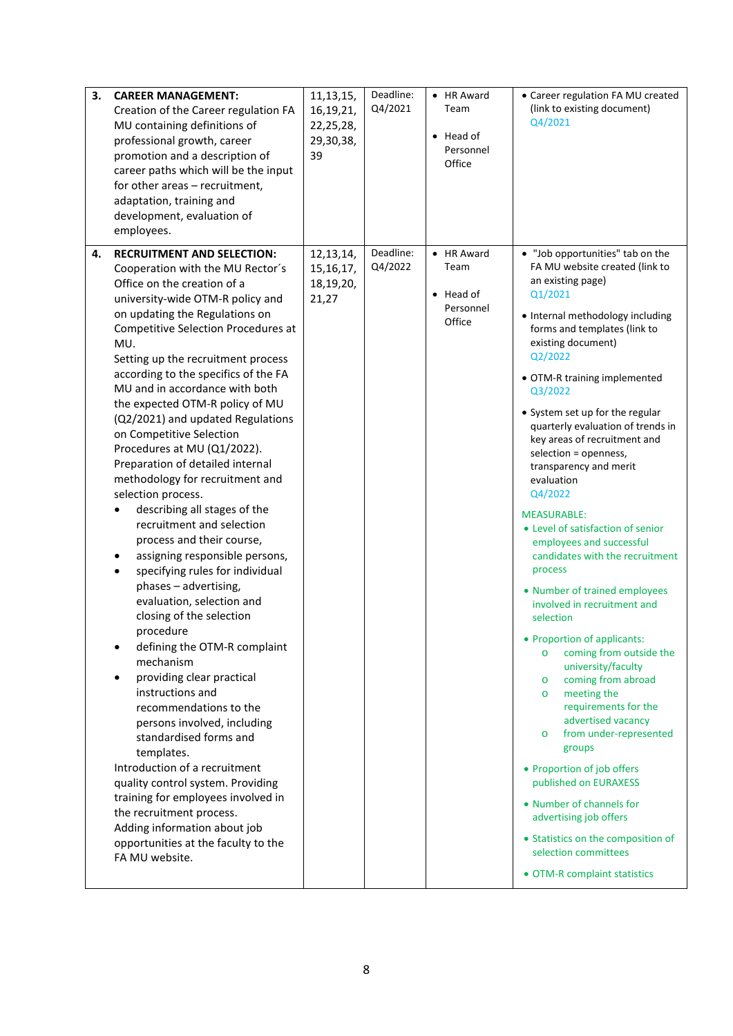| 3.<br><b>CAREER MANAGEMENT:</b><br>Creation of the Career regulation FA<br>MU containing definitions of<br>professional growth, career<br>promotion and a description of<br>career paths which will be the input<br>for other areas - recruitment,<br>adaptation, training and<br>development, evaluation of<br>employees.                                                                                                                                                                                                                                                                                                                                                                                                                                                                                                                                                                                                                                                                                                                                                                                                                                                                                                                                                                | 11, 13, 15,<br>16,19,21,<br>22, 25, 28,<br>29,30,38,<br>39 | Deadline:<br>Q4/2021 | • HR Award<br>Team<br>$\bullet$ Head of<br>Personnel<br>Office | • Career regulation FA MU created<br>(link to existing document)<br>Q4/2021                                                                                                                                                                                                                                                                                                                                                                                                                                                                                                                                                                                                                                                                                                                                                                                                                                                                                                                                                                                                                                          |
|-------------------------------------------------------------------------------------------------------------------------------------------------------------------------------------------------------------------------------------------------------------------------------------------------------------------------------------------------------------------------------------------------------------------------------------------------------------------------------------------------------------------------------------------------------------------------------------------------------------------------------------------------------------------------------------------------------------------------------------------------------------------------------------------------------------------------------------------------------------------------------------------------------------------------------------------------------------------------------------------------------------------------------------------------------------------------------------------------------------------------------------------------------------------------------------------------------------------------------------------------------------------------------------------|------------------------------------------------------------|----------------------|----------------------------------------------------------------|----------------------------------------------------------------------------------------------------------------------------------------------------------------------------------------------------------------------------------------------------------------------------------------------------------------------------------------------------------------------------------------------------------------------------------------------------------------------------------------------------------------------------------------------------------------------------------------------------------------------------------------------------------------------------------------------------------------------------------------------------------------------------------------------------------------------------------------------------------------------------------------------------------------------------------------------------------------------------------------------------------------------------------------------------------------------------------------------------------------------|
| <b>RECRUITMENT AND SELECTION:</b><br>4.<br>Cooperation with the MU Rector's<br>Office on the creation of a<br>university-wide OTM-R policy and<br>on updating the Regulations on<br>Competitive Selection Procedures at<br>MU.<br>Setting up the recruitment process<br>according to the specifics of the FA<br>MU and in accordance with both<br>the expected OTM-R policy of MU<br>(Q2/2021) and updated Regulations<br>on Competitive Selection<br>Procedures at MU (Q1/2022).<br>Preparation of detailed internal<br>methodology for recruitment and<br>selection process.<br>describing all stages of the<br>recruitment and selection<br>process and their course,<br>assigning responsible persons,<br>specifying rules for individual<br>$\bullet$<br>phases - advertising,<br>evaluation, selection and<br>closing of the selection<br>procedure<br>defining the OTM-R complaint<br>mechanism<br>providing clear practical<br>instructions and<br>recommendations to the<br>persons involved, including<br>standardised forms and<br>templates.<br>Introduction of a recruitment<br>quality control system. Providing<br>training for employees involved in<br>the recruitment process.<br>Adding information about job<br>opportunities at the faculty to the<br>FA MU website. | 12, 13, 14,<br>15, 16, 17,<br>18,19,20,<br>21,27           | Deadline:<br>Q4/2022 | • HR Award<br>Team<br>$\bullet$ Head of<br>Personnel<br>Office | • "Job opportunities" tab on the<br>FA MU website created (link to<br>an existing page)<br>Q1/2021<br>• Internal methodology including<br>forms and templates (link to<br>existing document)<br>Q2/2022<br>• OTM-R training implemented<br>Q3/2022<br>• System set up for the regular<br>quarterly evaluation of trends in<br>key areas of recruitment and<br>selection = openness,<br>transparency and merit<br>evaluation<br>Q4/2022<br><b>MEASURABLE:</b><br>• Level of satisfaction of senior<br>employees and successful<br>candidates with the recruitment<br>process<br>• Number of trained employees<br>involved in recruitment and<br>selection<br>Proportion of applicants:<br>coming from outside the<br>$\circ$<br>university/faculty<br>coming from abroad<br>$\circ$<br>meeting the<br>$\circ$<br>requirements for the<br>advertised vacancy<br>from under-represented<br>$\circ$<br>groups<br>• Proportion of job offers<br>published on EURAXESS<br>• Number of channels for<br>advertising job offers<br>• Statistics on the composition of<br>selection committees<br>• OTM-R complaint statistics |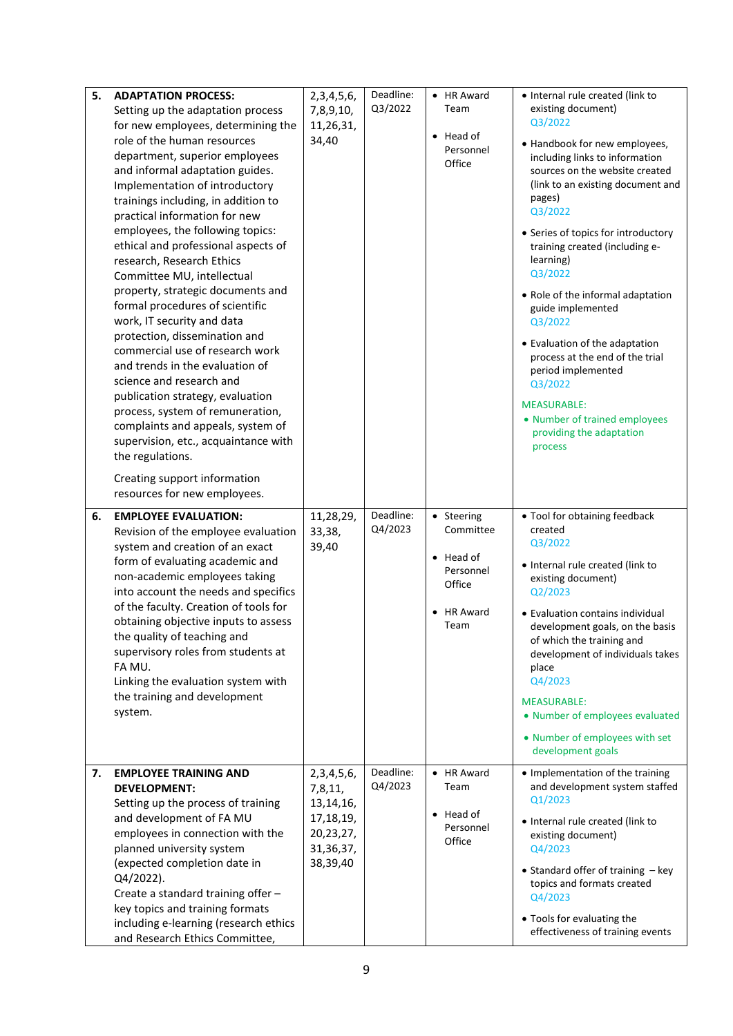| 5. | <b>ADAPTATION PROCESS:</b>                                         | 2, 3, 4, 5, 6, | Deadline: | • HR Award           | • Internal rule created (link to    |
|----|--------------------------------------------------------------------|----------------|-----------|----------------------|-------------------------------------|
|    | Setting up the adaptation process                                  | 7,8,9,10,      | Q3/2022   | Team                 | existing document)                  |
|    | for new employees, determining the                                 | 11,26,31,      |           |                      | Q3/2022                             |
|    | role of the human resources                                        | 34,40          |           | $\bullet$ Head of    | • Handbook for new employees,       |
|    | department, superior employees                                     |                |           | Personnel<br>Office  | including links to information      |
|    | and informal adaptation guides.                                    |                |           |                      | sources on the website created      |
|    | Implementation of introductory                                     |                |           |                      | (link to an existing document and   |
|    | trainings including, in addition to                                |                |           |                      | pages)<br>Q3/2022                   |
|    | practical information for new                                      |                |           |                      |                                     |
|    | employees, the following topics:                                   |                |           |                      | • Series of topics for introductory |
|    | ethical and professional aspects of                                |                |           |                      | training created (including e-      |
|    | research, Research Ethics                                          |                |           |                      | learning)                           |
|    | Committee MU, intellectual                                         |                |           |                      | Q3/2022                             |
|    | property, strategic documents and                                  |                |           |                      | • Role of the informal adaptation   |
|    | formal procedures of scientific                                    |                |           |                      | guide implemented                   |
|    | work, IT security and data                                         |                |           |                      | Q3/2022                             |
|    | protection, dissemination and                                      |                |           |                      | • Evaluation of the adaptation      |
|    | commercial use of research work<br>and trends in the evaluation of |                |           |                      | process at the end of the trial     |
|    |                                                                    |                |           |                      | period implemented                  |
|    | science and research and<br>publication strategy, evaluation       |                |           |                      | Q3/2022                             |
|    | process, system of remuneration,                                   |                |           |                      | <b>MEASURABLE:</b>                  |
|    | complaints and appeals, system of                                  |                |           |                      | • Number of trained employees       |
|    | supervision, etc., acquaintance with                               |                |           |                      | providing the adaptation            |
|    | the regulations.                                                   |                |           |                      | process                             |
|    |                                                                    |                |           |                      |                                     |
|    | Creating support information                                       |                |           |                      |                                     |
|    | resources for new employees.                                       |                |           |                      |                                     |
| 6. | <b>EMPLOYEE EVALUATION:</b>                                        | 11,28,29,      | Deadline: | • Steering           | • Tool for obtaining feedback       |
|    | Revision of the employee evaluation                                | 33,38,         | Q4/2023   | Committee            | created                             |
|    | system and creation of an exact                                    | 39,40          |           |                      | Q3/2022                             |
|    | form of evaluating academic and                                    |                |           | $\bullet$ Head of    | • Internal rule created (link to    |
|    | non-academic employees taking                                      |                |           | Personnel<br>Office  | existing document)                  |
|    | into account the needs and specifics                               |                |           |                      | Q2/2023                             |
|    | of the faculty. Creation of tools for                              |                |           | <b>HR Award</b>      | • Evaluation contains individual    |
|    | obtaining objective inputs to assess                               |                |           | Team                 | development goals, on the basis     |
|    | the quality of teaching and                                        |                |           |                      | of which the training and           |
|    | supervisory roles from students at                                 |                |           |                      | development of individuals takes    |
|    | FA MU.                                                             |                |           |                      | place<br>Q4/2023                    |
|    | Linking the evaluation system with                                 |                |           |                      |                                     |
|    | the training and development                                       |                |           |                      | <b>MEASURABLE:</b>                  |
|    | system.                                                            |                |           |                      | • Number of employees evaluated     |
|    |                                                                    |                |           |                      | • Number of employees with set      |
|    |                                                                    |                |           |                      | development goals                   |
| 7. | <b>EMPLOYEE TRAINING AND</b>                                       | 2, 3, 4, 5, 6, | Deadline: | • HR Award           | • Implementation of the training    |
|    | <b>DEVELOPMENT:</b>                                                | 7,8,11,        | Q4/2023   | Team                 | and development system staffed      |
|    | Setting up the process of training                                 | 13, 14, 16,    |           |                      | Q1/2023                             |
|    | and development of FA MU                                           | 17, 18, 19,    |           | Head of<br>$\bullet$ | • Internal rule created (link to    |
|    | employees in connection with the                                   | 20,23,27,      |           | Personnel            | existing document)                  |
|    | planned university system                                          | 31, 36, 37,    |           | Office               | Q4/2023                             |
|    | (expected completion date in                                       | 38,39,40       |           |                      | • Standard offer of training - key  |
|    | Q4/2022).                                                          |                |           |                      | topics and formats created          |
|    | Create a standard training offer -                                 |                |           |                      | Q4/2023                             |
|    | key topics and training formats                                    |                |           |                      |                                     |
|    | including e-learning (research ethics                              |                |           |                      | • Tools for evaluating the          |
|    | and Research Ethics Committee,                                     |                |           |                      | effectiveness of training events    |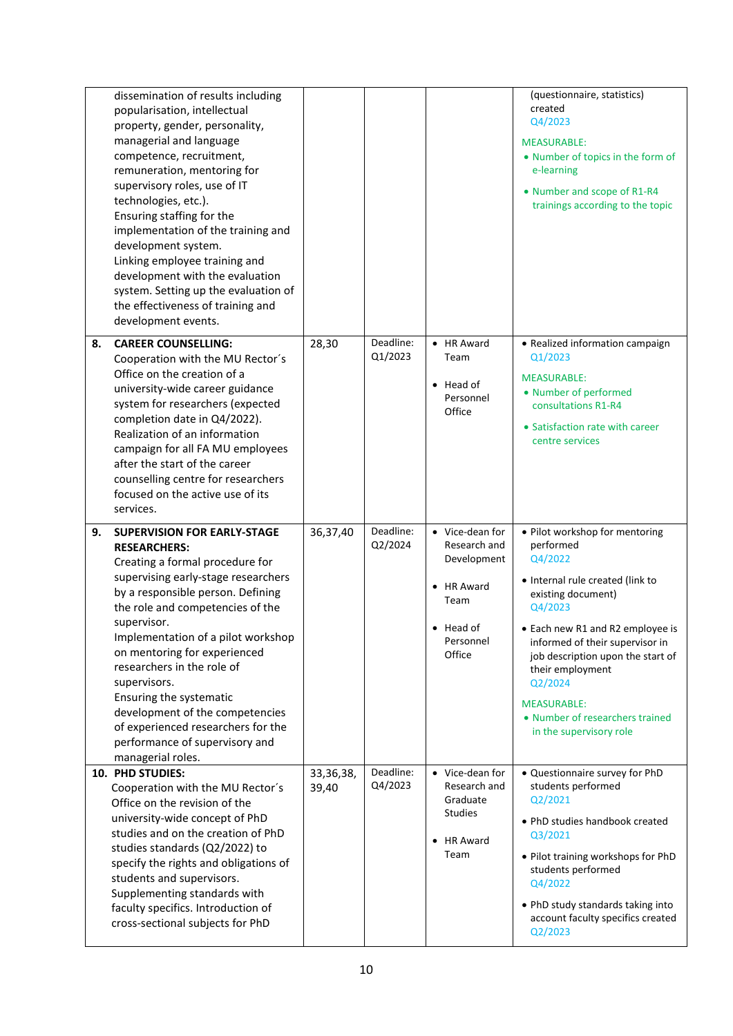|    | dissemination of results including                                    |             |                      |                                 | (questionnaire, statistics)                                          |
|----|-----------------------------------------------------------------------|-------------|----------------------|---------------------------------|----------------------------------------------------------------------|
|    | popularisation, intellectual<br>property, gender, personality,        |             |                      |                                 | created<br>Q4/2023                                                   |
|    | managerial and language                                               |             |                      |                                 |                                                                      |
|    | competence, recruitment,                                              |             |                      |                                 | <b>MEASURABLE:</b>                                                   |
|    | remuneration, mentoring for                                           |             |                      |                                 | • Number of topics in the form of<br>e-learning                      |
|    | supervisory roles, use of IT                                          |             |                      |                                 |                                                                      |
|    | technologies, etc.).                                                  |             |                      |                                 | • Number and scope of R1-R4                                          |
|    | Ensuring staffing for the                                             |             |                      |                                 | trainings according to the topic                                     |
|    | implementation of the training and                                    |             |                      |                                 |                                                                      |
|    | development system.                                                   |             |                      |                                 |                                                                      |
|    | Linking employee training and                                         |             |                      |                                 |                                                                      |
|    | development with the evaluation                                       |             |                      |                                 |                                                                      |
|    | system. Setting up the evaluation of                                  |             |                      |                                 |                                                                      |
|    | the effectiveness of training and                                     |             |                      |                                 |                                                                      |
|    | development events.                                                   |             |                      |                                 |                                                                      |
| 8. | <b>CAREER COUNSELLING:</b>                                            | 28,30       | Deadline:            | • HR Award                      | • Realized information campaign                                      |
|    | Cooperation with the MU Rector's                                      |             | Q1/2023              | Team                            | Q1/2023                                                              |
|    | Office on the creation of a                                           |             |                      |                                 |                                                                      |
|    | university-wide career guidance                                       |             |                      | $\bullet$ Head of               | <b>MEASURABLE:</b><br>• Number of performed                          |
|    | system for researchers (expected                                      |             |                      | Personnel                       | consultations R1-R4                                                  |
|    | completion date in Q4/2022).                                          |             |                      | Office                          |                                                                      |
|    | Realization of an information                                         |             |                      |                                 | • Satisfaction rate with career                                      |
|    | campaign for all FA MU employees                                      |             |                      |                                 | centre services                                                      |
|    | after the start of the career                                         |             |                      |                                 |                                                                      |
|    | counselling centre for researchers                                    |             |                      |                                 |                                                                      |
|    | focused on the active use of its                                      |             |                      |                                 |                                                                      |
|    |                                                                       |             |                      |                                 |                                                                      |
|    | services.                                                             |             |                      |                                 |                                                                      |
| 9. | <b>SUPERVISION FOR EARLY-STAGE</b>                                    | 36,37,40    | Deadline:            | • Vice-dean for                 | • Pilot workshop for mentoring                                       |
|    | <b>RESEARCHERS:</b>                                                   |             | Q2/2024              | Research and                    | performed                                                            |
|    | Creating a formal procedure for                                       |             |                      | Development                     | Q4/2022                                                              |
|    | supervising early-stage researchers                                   |             |                      | <b>HR Award</b>                 | • Internal rule created (link to                                     |
|    | by a responsible person. Defining<br>the role and competencies of the |             |                      | Team                            | existing document)<br>Q4/2023                                        |
|    | supervisor.                                                           |             |                      |                                 |                                                                      |
|    | Implementation of a pilot workshop                                    |             |                      | • Head of<br>Personnel          | • Each new R1 and R2 employee is                                     |
|    | on mentoring for experienced                                          |             |                      | Office                          | informed of their supervisor in<br>job description upon the start of |
|    | researchers in the role of                                            |             |                      |                                 | their employment                                                     |
|    | supervisors.                                                          |             |                      |                                 | Q2/2024                                                              |
|    | Ensuring the systematic                                               |             |                      |                                 | <b>MEASURABLE:</b>                                                   |
|    | development of the competencies                                       |             |                      |                                 | • Number of researchers trained                                      |
|    | of experienced researchers for the                                    |             |                      |                                 | in the supervisory role                                              |
|    | performance of supervisory and                                        |             |                      |                                 |                                                                      |
|    | managerial roles.                                                     |             |                      |                                 |                                                                      |
|    | 10. PHD STUDIES:                                                      | 33, 36, 38, | Deadline:<br>Q4/2023 | • Vice-dean for<br>Research and | • Questionnaire survey for PhD<br>students performed                 |
|    | Cooperation with the MU Rector's<br>Office on the revision of the     | 39,40       |                      | Graduate                        | Q2/2021                                                              |
|    |                                                                       |             |                      | <b>Studies</b>                  |                                                                      |
|    | university-wide concept of PhD<br>studies and on the creation of PhD  |             |                      |                                 | • PhD studies handbook created                                       |
|    | studies standards (Q2/2022) to                                        |             |                      | HR Award                        | Q3/2021                                                              |
|    | specify the rights and obligations of                                 |             |                      | Team                            | . Pilot training workshops for PhD                                   |
|    | students and supervisors.                                             |             |                      |                                 | students performed                                                   |
|    | Supplementing standards with                                          |             |                      |                                 | Q4/2022                                                              |
|    | faculty specifics. Introduction of                                    |             |                      |                                 | . PhD study standards taking into                                    |
|    | cross-sectional subjects for PhD                                      |             |                      |                                 | account faculty specifics created<br>Q2/2023                         |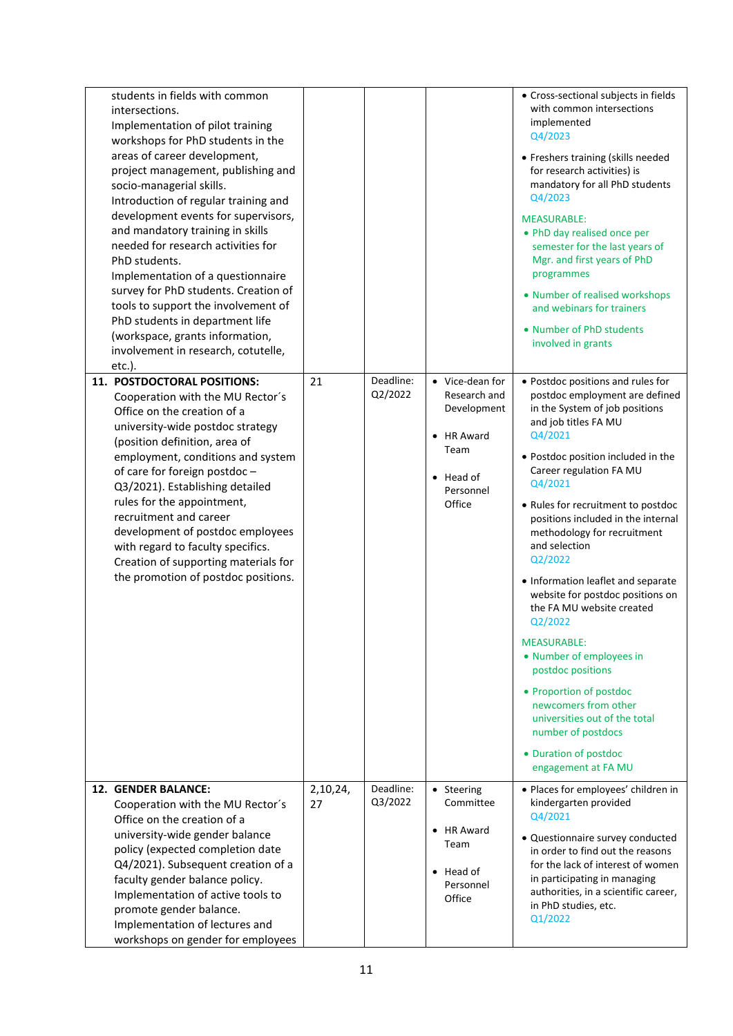| students in fields with common<br>intersections.<br>Implementation of pilot training<br>workshops for PhD students in the<br>areas of career development,<br>project management, publishing and<br>socio-managerial skills.<br>Introduction of regular training and<br>development events for supervisors,<br>and mandatory training in skills<br>needed for research activities for<br>PhD students.<br>Implementation of a questionnaire<br>survey for PhD students. Creation of<br>tools to support the involvement of<br>PhD students in department life<br>(workspace, grants information,<br>involvement in research, cotutelle,<br>$etc.$ ).<br><b>11. POSTDOCTORAL POSITIONS:</b><br>Cooperation with the MU Rector's<br>Office on the creation of a<br>university-wide postdoc strategy<br>(position definition, area of<br>employment, conditions and system<br>of care for foreign postdoc-<br>Q3/2021). Establishing detailed<br>rules for the appointment,<br>recruitment and career<br>development of postdoc employees<br>with regard to faculty specifics.<br>Creation of supporting materials for<br>the promotion of postdoc positions. | 21             | Deadline:<br>Q2/2022 | • Vice-dean for<br>Research and<br>Development<br><b>HR Award</b><br>$\bullet$<br>Team<br>$\bullet$ Head of<br>Personnel<br>Office | • Cross-sectional subjects in fields<br>with common intersections<br>implemented<br>Q4/2023<br>• Freshers training (skills needed<br>for research activities) is<br>mandatory for all PhD students<br>Q4/2023<br><b>MEASURABLE:</b><br>• PhD day realised once per<br>semester for the last years of<br>Mgr. and first years of PhD<br>programmes<br>• Number of realised workshops<br>and webinars for trainers<br>• Number of PhD students<br>involved in grants<br>• Postdoc positions and rules for<br>postdoc employment are defined<br>in the System of job positions<br>and job titles FA MU<br>Q4/2021<br>• Postdoc position included in the<br>Career regulation FA MU<br>Q4/2021<br>• Rules for recruitment to postdoc<br>positions included in the internal<br>methodology for recruitment<br>and selection<br>Q2/2022<br>• Information leaflet and separate<br>website for postdoc positions on<br>the FA MU website created<br>Q2/2022<br><b>MEASURABLE:</b><br>• Number of employees in<br>postdoc positions<br>• Proportion of postdoc<br>newcomers from other<br>universities out of the total<br>number of postdocs<br>• Duration of postdoc<br>engagement at FA MU |
|-----------------------------------------------------------------------------------------------------------------------------------------------------------------------------------------------------------------------------------------------------------------------------------------------------------------------------------------------------------------------------------------------------------------------------------------------------------------------------------------------------------------------------------------------------------------------------------------------------------------------------------------------------------------------------------------------------------------------------------------------------------------------------------------------------------------------------------------------------------------------------------------------------------------------------------------------------------------------------------------------------------------------------------------------------------------------------------------------------------------------------------------------------------|----------------|----------------------|------------------------------------------------------------------------------------------------------------------------------------|--------------------------------------------------------------------------------------------------------------------------------------------------------------------------------------------------------------------------------------------------------------------------------------------------------------------------------------------------------------------------------------------------------------------------------------------------------------------------------------------------------------------------------------------------------------------------------------------------------------------------------------------------------------------------------------------------------------------------------------------------------------------------------------------------------------------------------------------------------------------------------------------------------------------------------------------------------------------------------------------------------------------------------------------------------------------------------------------------------------------------------------------------------------------------------------|
| 12. GENDER BALANCE:<br>Cooperation with the MU Rector's                                                                                                                                                                                                                                                                                                                                                                                                                                                                                                                                                                                                                                                                                                                                                                                                                                                                                                                                                                                                                                                                                                   | 2,10,24,<br>27 | Deadline:<br>Q3/2022 | • Steering<br>Committee                                                                                                            | · Places for employees' children in<br>kindergarten provided                                                                                                                                                                                                                                                                                                                                                                                                                                                                                                                                                                                                                                                                                                                                                                                                                                                                                                                                                                                                                                                                                                                         |
| Office on the creation of a<br>university-wide gender balance<br>policy (expected completion date<br>Q4/2021). Subsequent creation of a<br>faculty gender balance policy.<br>Implementation of active tools to<br>promote gender balance.<br>Implementation of lectures and<br>workshops on gender for employees                                                                                                                                                                                                                                                                                                                                                                                                                                                                                                                                                                                                                                                                                                                                                                                                                                          |                |                      | HR Award<br>$\bullet$<br>Team<br>$\bullet$ Head of<br>Personnel<br>Office                                                          | Q4/2021<br>• Questionnaire survey conducted<br>in order to find out the reasons<br>for the lack of interest of women<br>in participating in managing<br>authorities, in a scientific career,<br>in PhD studies, etc.<br>Q1/2022                                                                                                                                                                                                                                                                                                                                                                                                                                                                                                                                                                                                                                                                                                                                                                                                                                                                                                                                                      |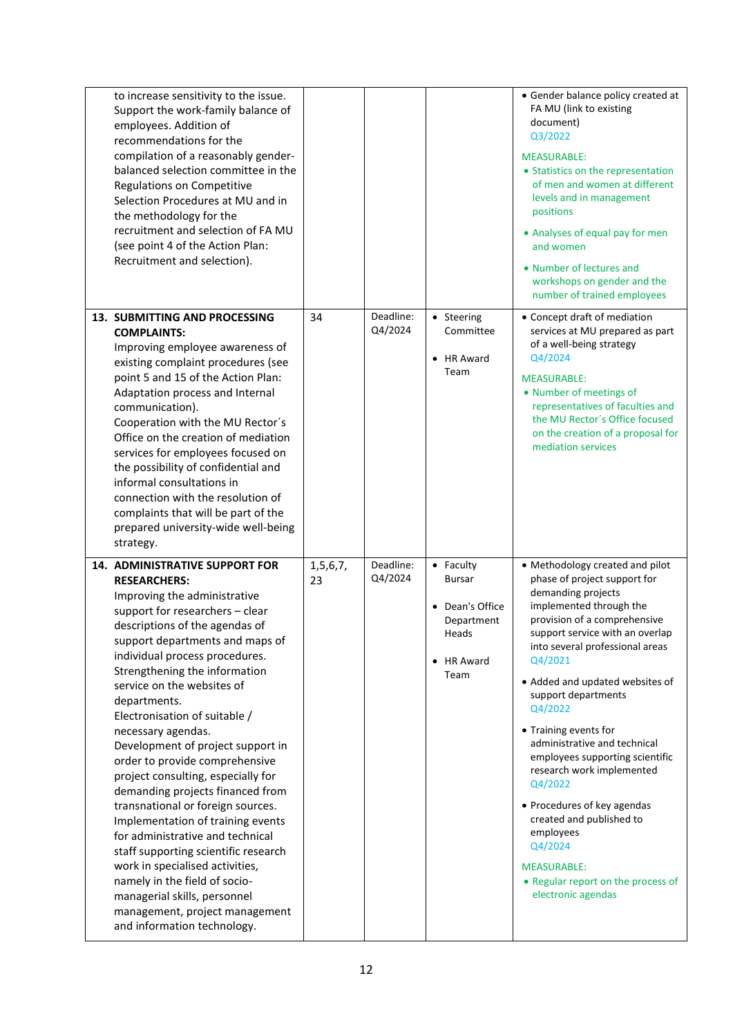| to increase sensitivity to the issue.<br>Support the work-family balance of<br>employees. Addition of<br>recommendations for the<br>compilation of a reasonably gender-<br>balanced selection committee in the<br>Regulations on Competitive<br>Selection Procedures at MU and in<br>the methodology for the<br>recruitment and selection of FA MU<br>(see point 4 of the Action Plan:<br>Recruitment and selection).                                                                                                                                                                                                                                                                                                                                                                                                                                    |                   |                      |                                                                                            | • Gender balance policy created at<br>FA MU (link to existing<br>document)<br>Q3/2022<br><b>MEASURABLE:</b><br>• Statistics on the representation<br>of men and women at different<br>levels and in management<br>positions<br>• Analyses of equal pay for men<br>and women<br>• Number of lectures and<br>workshops on gender and the<br>number of trained employees                                                                                                                                                                                                                                           |
|----------------------------------------------------------------------------------------------------------------------------------------------------------------------------------------------------------------------------------------------------------------------------------------------------------------------------------------------------------------------------------------------------------------------------------------------------------------------------------------------------------------------------------------------------------------------------------------------------------------------------------------------------------------------------------------------------------------------------------------------------------------------------------------------------------------------------------------------------------|-------------------|----------------------|--------------------------------------------------------------------------------------------|-----------------------------------------------------------------------------------------------------------------------------------------------------------------------------------------------------------------------------------------------------------------------------------------------------------------------------------------------------------------------------------------------------------------------------------------------------------------------------------------------------------------------------------------------------------------------------------------------------------------|
| 13. SUBMITTING AND PROCESSING<br><b>COMPLAINTS:</b><br>Improving employee awareness of<br>existing complaint procedures (see<br>point 5 and 15 of the Action Plan:<br>Adaptation process and Internal<br>communication).<br>Cooperation with the MU Rector's<br>Office on the creation of mediation<br>services for employees focused on<br>the possibility of confidential and<br>informal consultations in<br>connection with the resolution of<br>complaints that will be part of the<br>prepared university-wide well-being<br>strategy.                                                                                                                                                                                                                                                                                                             | 34                | Deadline:<br>Q4/2024 | • Steering<br>Committee<br>• HR Award<br>Team                                              | • Concept draft of mediation<br>services at MU prepared as part<br>of a well-being strategy<br>Q4/2024<br><b>MEASURABLE:</b><br>• Number of meetings of<br>representatives of faculties and<br>the MU Rector's Office focused<br>on the creation of a proposal for<br>mediation services                                                                                                                                                                                                                                                                                                                        |
| <b>14. ADMINISTRATIVE SUPPORT FOR</b><br><b>RESEARCHERS:</b><br>Improving the administrative<br>support for researchers - clear<br>descriptions of the agendas of<br>support departments and maps of<br>individual process procedures.<br>Strengthening the information<br>service on the websites of<br>departments.<br>Electronisation of suitable /<br>necessary agendas.<br>Development of project support in<br>order to provide comprehensive<br>project consulting, especially for<br>demanding projects financed from<br>transnational or foreign sources.<br>Implementation of training events<br>for administrative and technical<br>staff supporting scientific research<br>work in specialised activities,<br>namely in the field of socio-<br>managerial skills, personnel<br>management, project management<br>and information technology. | 1, 5, 6, 7,<br>23 | Deadline:<br>Q4/2024 | • Faculty<br><b>Bursar</b><br>• Dean's Office<br>Department<br>Heads<br>• HR Award<br>Team | • Methodology created and pilot<br>phase of project support for<br>demanding projects<br>implemented through the<br>provision of a comprehensive<br>support service with an overlap<br>into several professional areas<br>Q4/2021<br>• Added and updated websites of<br>support departments<br>Q4/2022<br>• Training events for<br>administrative and technical<br>employees supporting scientific<br>research work implemented<br>Q4/2022<br>• Procedures of key agendas<br>created and published to<br>employees<br>Q4/2024<br><b>MEASURABLE:</b><br>• Regular report on the process of<br>electronic agendas |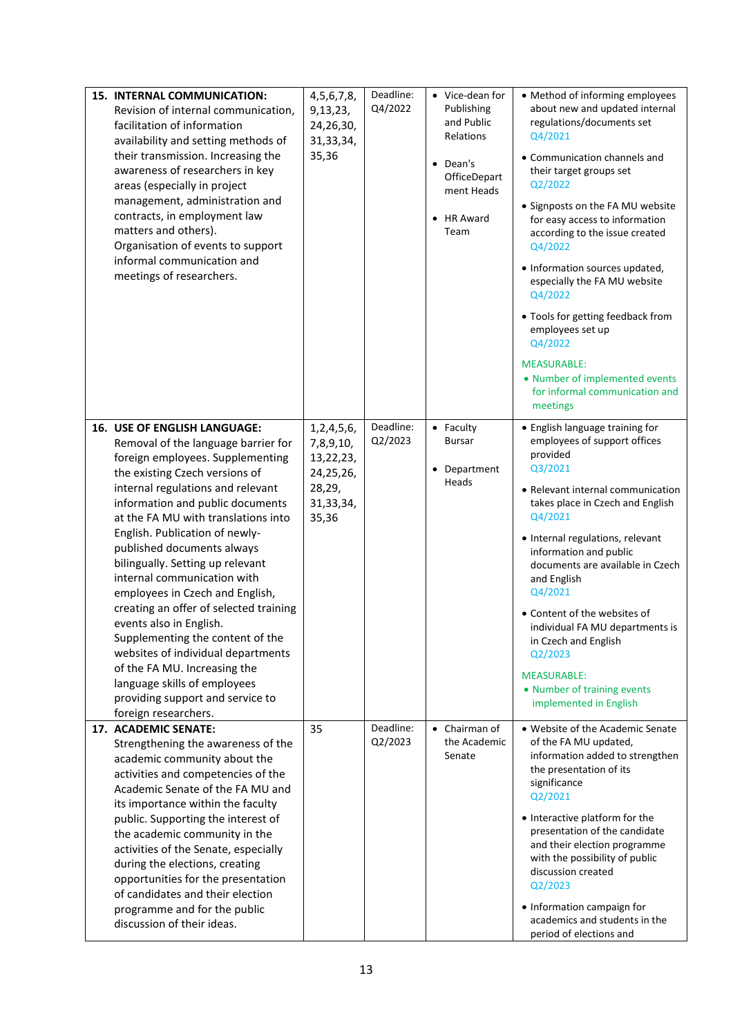| <b>15. INTERNAL COMMUNICATION:</b><br>Revision of internal communication,<br>facilitation of information<br>availability and setting methods of<br>their transmission. Increasing the<br>awareness of researchers in key<br>areas (especially in project<br>management, administration and<br>contracts, in employment law<br>matters and others).<br>Organisation of events to support<br>informal communication and<br>meetings of researchers.                                                                                                                                                                                                                                                                 | 4, 5, 6, 7, 8,<br>9,13,23,<br>24,26,30,<br>31, 33, 34,<br>35,36                         | Deadline:<br>Q4/2022 | • Vice-dean for<br>Publishing<br>and Public<br>Relations<br>• Dean's<br>OfficeDepart<br>ment Heads<br><b>HR Award</b><br>Team | • Method of informing employees<br>about new and updated internal<br>regulations/documents set<br>Q4/2021<br>• Communication channels and<br>their target groups set<br>Q2/2022<br>• Signposts on the FA MU website<br>for easy access to information<br>according to the issue created<br>Q4/2022<br>• Information sources updated,<br>especially the FA MU website<br>Q4/2022<br>• Tools for getting feedback from<br>employees set up<br>Q4/2022<br><b>MEASURABLE:</b><br>• Number of implemented events<br>for informal communication and<br>meetings |
|-------------------------------------------------------------------------------------------------------------------------------------------------------------------------------------------------------------------------------------------------------------------------------------------------------------------------------------------------------------------------------------------------------------------------------------------------------------------------------------------------------------------------------------------------------------------------------------------------------------------------------------------------------------------------------------------------------------------|-----------------------------------------------------------------------------------------|----------------------|-------------------------------------------------------------------------------------------------------------------------------|-----------------------------------------------------------------------------------------------------------------------------------------------------------------------------------------------------------------------------------------------------------------------------------------------------------------------------------------------------------------------------------------------------------------------------------------------------------------------------------------------------------------------------------------------------------|
| <b>16. USE OF ENGLISH LANGUAGE:</b><br>Removal of the language barrier for<br>foreign employees. Supplementing<br>the existing Czech versions of<br>internal regulations and relevant<br>information and public documents<br>at the FA MU with translations into<br>English. Publication of newly-<br>published documents always<br>bilingually. Setting up relevant<br>internal communication with<br>employees in Czech and English,<br>creating an offer of selected training<br>events also in English.<br>Supplementing the content of the<br>websites of individual departments<br>of the FA MU. Increasing the<br>language skills of employees<br>providing support and service to<br>foreign researchers. | 1, 2, 4, 5, 6,<br>7,8,9,10,<br>13,22,23,<br>24,25,26,<br>28,29,<br>31, 33, 34,<br>35,36 | Deadline:<br>Q2/2023 | • Faculty<br><b>Bursar</b><br>Department<br>Heads                                                                             | • English language training for<br>employees of support offices<br>provided<br>Q3/2021<br>• Relevant internal communication<br>takes place in Czech and English<br>Q4/2021<br>• Internal regulations, relevant<br>information and public<br>documents are available in Czech<br>and English<br>Q4/2021<br>• Content of the websites of<br>individual FA MU departments is<br>in Czech and English<br>Q2/2023<br><b>MEASURABLE:</b><br>• Number of training events<br>implemented in English                                                               |
| 17. ACADEMIC SENATE:<br>Strengthening the awareness of the<br>academic community about the<br>activities and competencies of the<br>Academic Senate of the FA MU and<br>its importance within the faculty<br>public. Supporting the interest of<br>the academic community in the<br>activities of the Senate, especially<br>during the elections, creating<br>opportunities for the presentation<br>of candidates and their election<br>programme and for the public<br>discussion of their ideas.                                                                                                                                                                                                                | 35                                                                                      | Deadline:<br>Q2/2023 | $\bullet$ Chairman of<br>the Academic<br>Senate                                                                               | • Website of the Academic Senate<br>of the FA MU updated,<br>information added to strengthen<br>the presentation of its<br>significance<br>Q2/2021<br>• Interactive platform for the<br>presentation of the candidate<br>and their election programme<br>with the possibility of public<br>discussion created<br>Q2/2023<br>• Information campaign for<br>academics and students in the<br>period of elections and                                                                                                                                        |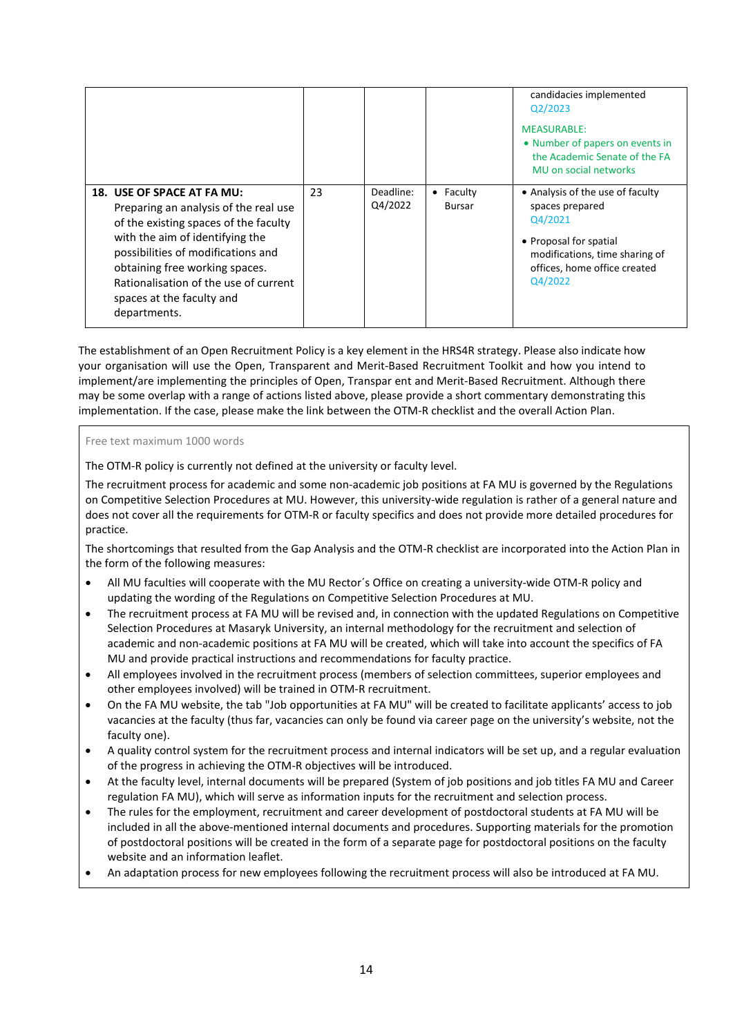|                                                                                                                                                                                                                                                                                                               |    |                      |                     | candidacies implemented<br>Q2/2023<br><b>MEASURABLE:</b><br>• Number of papers on events in<br>the Academic Senate of the FA<br>MU on social networks                 |
|---------------------------------------------------------------------------------------------------------------------------------------------------------------------------------------------------------------------------------------------------------------------------------------------------------------|----|----------------------|---------------------|-----------------------------------------------------------------------------------------------------------------------------------------------------------------------|
| 18. USE OF SPACE AT FA MU:<br>Preparing an analysis of the real use<br>of the existing spaces of the faculty<br>with the aim of identifying the<br>possibilities of modifications and<br>obtaining free working spaces.<br>Rationalisation of the use of current<br>spaces at the faculty and<br>departments. | 23 | Deadline:<br>Q4/2022 | • Faculty<br>Bursar | • Analysis of the use of faculty<br>spaces prepared<br>Q4/2021<br>• Proposal for spatial<br>modifications, time sharing of<br>offices, home office created<br>Q4/2022 |

The establishment of an Open Recruitment Policy is a key element in the HRS4R strategy. Please also indicate how your organisation will use the Open, Transparent and Merit-Based Recruitment Toolkit and how you intend to implement/are implementing the principles of Open, Transpar ent and Merit-Based Recruitment. Although there may be some overlap with a range of actions listed above, please provide a short commentary demonstrating this implementation. If the case, please make the link between the OTM-R checklist and the overall Action Plan.

#### Free text maximum 1000 words

The OTM-R policy is currently not defined at the university or faculty level.

The recruitment process for academic and some non-academic job positions at FA MU is governed by the Regulations on Competitive Selection Procedures at MU. However, this university-wide regulation is rather of a general nature and does not cover all the requirements for OTM-R or faculty specifics and does not provide more detailed procedures for practice.

The shortcomings that resulted from the Gap Analysis and the OTM-R checklist are incorporated into the Action Plan in the form of the following measures:

- All MU faculties will cooperate with the MU Rector´s Office on creating a university-wide OTM-R policy and updating the wording of the Regulations on Competitive Selection Procedures at MU.
- The recruitment process at FA MU will be revised and, in connection with the updated Regulations on Competitive Selection Procedures at Masaryk University, an internal methodology for the recruitment and selection of academic and non-academic positions at FA MU will be created, which will take into account the specifics of FA MU and provide practical instructions and recommendations for faculty practice.
- All employees involved in the recruitment process (members of selection committees, superior employees and other employees involved) will be trained in OTM-R recruitment.
- On the FA MU website, the tab "Job opportunities at FA MU" will be created to facilitate applicants' access to job vacancies at the faculty (thus far, vacancies can only be found via career page on the university's website, not the faculty one).
- A quality control system for the recruitment process and internal indicators will be set up, and a regular evaluation of the progress in achieving the OTM-R objectives will be introduced.
- At the faculty level, internal documents will be prepared (System of job positions and job titles FA MU and Career regulation FA MU), which will serve as information inputs for the recruitment and selection process.
- The rules for the employment, recruitment and career development of postdoctoral students at FA MU will be included in all the above-mentioned internal documents and procedures. Supporting materials for the promotion of postdoctoral positions will be created in the form of a separate page for postdoctoral positions on the faculty website and an information leaflet.
- An adaptation process for new employees following the recruitment process will also be introduced at FA MU.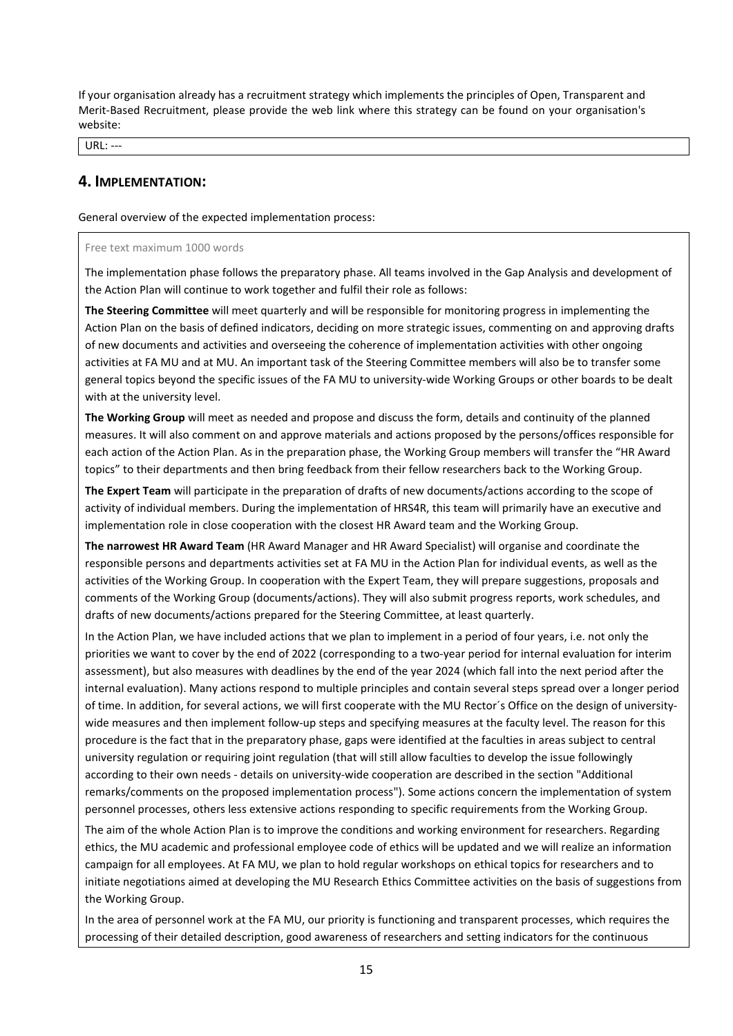If your organisation already has a recruitment strategy which implements the principles of Open, Transparent and Merit-Based Recruitment, please provide the web link where this strategy can be found on your organisation's website:

URL: ---

### **4. IMPLEMENTATION:**

General overview of the expected implementation process:

#### Free text maximum 1000 words

The implementation phase follows the preparatory phase. All teams involved in the Gap Analysis and development of the Action Plan will continue to work together and fulfil their role as follows:

**The Steering Committee** will meet quarterly and will be responsible for monitoring progress in implementing the Action Plan on the basis of defined indicators, deciding on more strategic issues, commenting on and approving drafts of new documents and activities and overseeing the coherence of implementation activities with other ongoing activities at FA MU and at MU. An important task of the Steering Committee members will also be to transfer some general topics beyond the specific issues of the FA MU to university-wide Working Groups or other boards to be dealt with at the university level.

**The Working Group** will meet as needed and propose and discuss the form, details and continuity of the planned measures. It will also comment on and approve materials and actions proposed by the persons/offices responsible for each action of the Action Plan. As in the preparation phase, the Working Group members will transfer the "HR Award topics" to their departments and then bring feedback from their fellow researchers back to the Working Group.

**The Expert Team** will participate in the preparation of drafts of new documents/actions according to the scope of activity of individual members. During the implementation of HRS4R, this team will primarily have an executive and implementation role in close cooperation with the closest HR Award team and the Working Group.

**The narrowest HR Award Team** (HR Award Manager and HR Award Specialist) will organise and coordinate the responsible persons and departments activities set at FA MU in the Action Plan for individual events, as well as the activities of the Working Group. In cooperation with the Expert Team, they will prepare suggestions, proposals and comments of the Working Group (documents/actions). They will also submit progress reports, work schedules, and drafts of new documents/actions prepared for the Steering Committee, at least quarterly.

In the Action Plan, we have included actions that we plan to implement in a period of four years, i.e. not only the priorities we want to cover by the end of 2022 (corresponding to a two-year period for internal evaluation for interim assessment), but also measures with deadlines by the end of the year 2024 (which fall into the next period after the internal evaluation). Many actions respond to multiple principles and contain several steps spread over a longer period of time. In addition, for several actions, we will first cooperate with the MU Rector´s Office on the design of universitywide measures and then implement follow-up steps and specifying measures at the faculty level. The reason for this procedure is the fact that in the preparatory phase, gaps were identified at the faculties in areas subject to central university regulation or requiring joint regulation (that will still allow faculties to develop the issue followingly according to their own needs - details on university-wide cooperation are described in the section "Additional remarks/comments on the proposed implementation process"). Some actions concern the implementation of system personnel processes, others less extensive actions responding to specific requirements from the Working Group.

The aim of the whole Action Plan is to improve the conditions and working environment for researchers. Regarding ethics, the MU academic and professional employee code of ethics will be updated and we will realize an information campaign for all employees. At FA MU, we plan to hold regular workshops on ethical topics for researchers and to initiate negotiations aimed at developing the MU Research Ethics Committee activities on the basis of suggestions from the Working Group.

In the area of personnel work at the FA MU, our priority is functioning and transparent processes, which requires the processing of their detailed description, good awareness of researchers and setting indicators for the continuous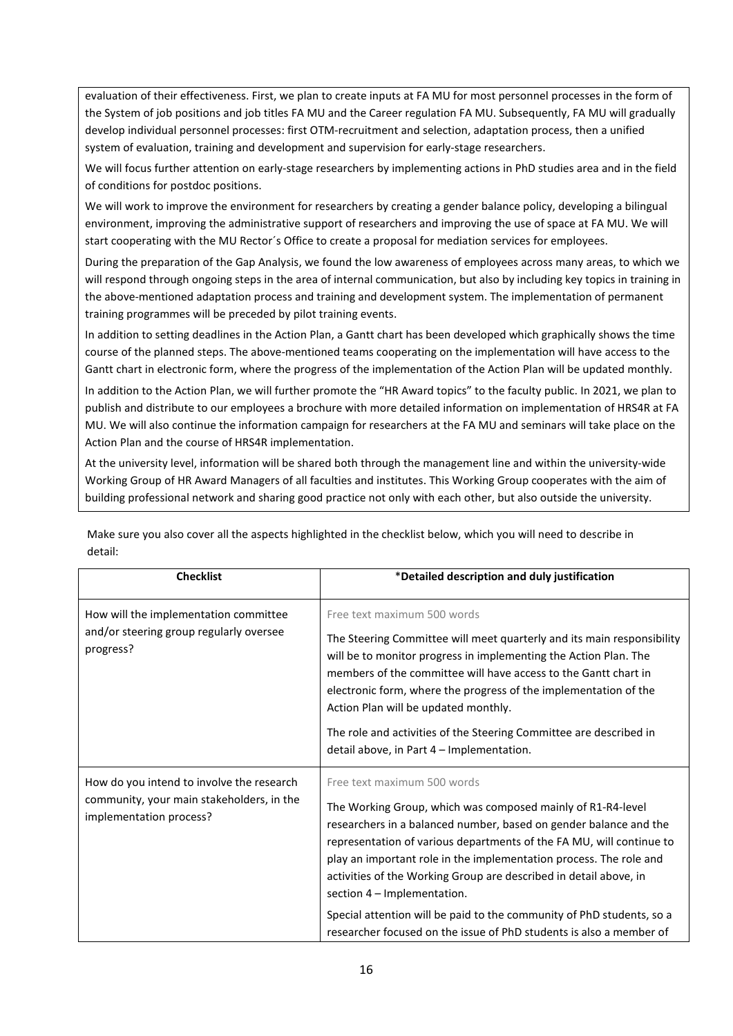evaluation of their effectiveness. First, we plan to create inputs at FA MU for most personnel processes in the form of the System of job positions and job titles FA MU and the Career regulation FA MU. Subsequently, FA MU will gradually develop individual personnel processes: first OTM-recruitment and selection, adaptation process, then a unified system of evaluation, training and development and supervision for early-stage researchers.

We will focus further attention on early-stage researchers by implementing actions in PhD studies area and in the field of conditions for postdoc positions.

We will work to improve the environment for researchers by creating a gender balance policy, developing a bilingual environment, improving the administrative support of researchers and improving the use of space at FA MU. We will start cooperating with the MU Rector´s Office to create a proposal for mediation services for employees.

During the preparation of the Gap Analysis, we found the low awareness of employees across many areas, to which we will respond through ongoing steps in the area of internal communication, but also by including key topics in training in the above-mentioned adaptation process and training and development system. The implementation of permanent training programmes will be preceded by pilot training events.

In addition to setting deadlines in the Action Plan, a Gantt chart has been developed which graphically shows the time course of the planned steps. The above-mentioned teams cooperating on the implementation will have access to the Gantt chart in electronic form, where the progress of the implementation of the Action Plan will be updated monthly.

In addition to the Action Plan, we will further promote the "HR Award topics" to the faculty public. In 2021, we plan to publish and distribute to our employees a brochure with more detailed information on implementation of HRS4R at FA MU. We will also continue the information campaign for researchers at the FA MU and seminars will take place on the Action Plan and the course of HRS4R implementation.

At the university level, information will be shared both through the management line and within the university-wide Working Group of HR Award Managers of all faculties and institutes. This Working Group cooperates with the aim of building professional network and sharing good practice not only with each other, but also outside the university.

| <b>Checklist</b>                                                                                                  | *Detailed description and duly justification                                                                                                                                                                                                                                                                                                                                                                                                                                                                                                                      |
|-------------------------------------------------------------------------------------------------------------------|-------------------------------------------------------------------------------------------------------------------------------------------------------------------------------------------------------------------------------------------------------------------------------------------------------------------------------------------------------------------------------------------------------------------------------------------------------------------------------------------------------------------------------------------------------------------|
| How will the implementation committee<br>and/or steering group regularly oversee<br>progress?                     | Free text maximum 500 words<br>The Steering Committee will meet quarterly and its main responsibility<br>will be to monitor progress in implementing the Action Plan. The<br>members of the committee will have access to the Gantt chart in<br>electronic form, where the progress of the implementation of the<br>Action Plan will be updated monthly.<br>The role and activities of the Steering Committee are described in<br>detail above, in Part 4 – Implementation.                                                                                       |
| How do you intend to involve the research<br>community, your main stakeholders, in the<br>implementation process? | Free text maximum 500 words<br>The Working Group, which was composed mainly of R1-R4-level<br>researchers in a balanced number, based on gender balance and the<br>representation of various departments of the FA MU, will continue to<br>play an important role in the implementation process. The role and<br>activities of the Working Group are described in detail above, in<br>section 4 - Implementation.<br>Special attention will be paid to the community of PhD students, so a<br>researcher focused on the issue of PhD students is also a member of |

Make sure you also cover all the aspects highlighted in the checklist below, which you will need to describe in detail: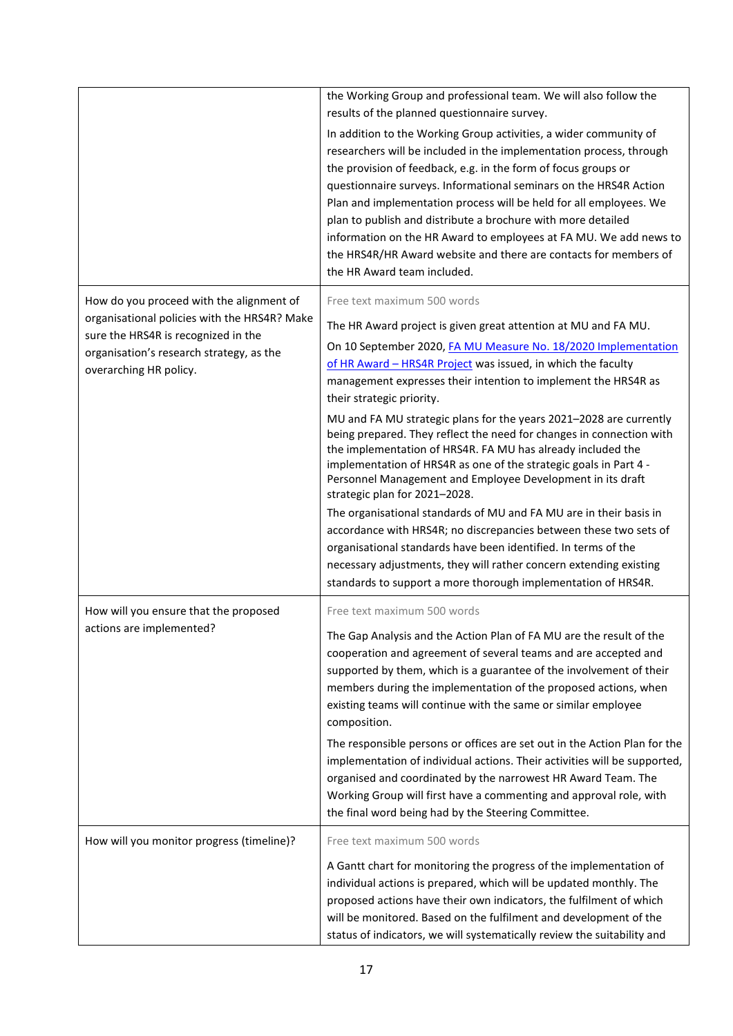|                                                                                                                                                                                                       | the Working Group and professional team. We will also follow the<br>results of the planned questionnaire survey.<br>In addition to the Working Group activities, a wider community of<br>researchers will be included in the implementation process, through<br>the provision of feedback, e.g. in the form of focus groups or<br>questionnaire surveys. Informational seminars on the HRS4R Action<br>Plan and implementation process will be held for all employees. We<br>plan to publish and distribute a brochure with more detailed<br>information on the HR Award to employees at FA MU. We add news to<br>the HRS4R/HR Award website and there are contacts for members of<br>the HR Award team included.                                         |
|-------------------------------------------------------------------------------------------------------------------------------------------------------------------------------------------------------|-----------------------------------------------------------------------------------------------------------------------------------------------------------------------------------------------------------------------------------------------------------------------------------------------------------------------------------------------------------------------------------------------------------------------------------------------------------------------------------------------------------------------------------------------------------------------------------------------------------------------------------------------------------------------------------------------------------------------------------------------------------|
| How do you proceed with the alignment of<br>organisational policies with the HRS4R? Make<br>sure the HRS4R is recognized in the<br>organisation's research strategy, as the<br>overarching HR policy. | Free text maximum 500 words<br>The HR Award project is given great attention at MU and FA MU.<br>On 10 September 2020, FA MU Measure No. 18/2020 Implementation<br>of HR Award - HRS4R Project was issued, in which the faculty<br>management expresses their intention to implement the HRS4R as<br>their strategic priority.<br>MU and FA MU strategic plans for the years 2021-2028 are currently<br>being prepared. They reflect the need for changes in connection with<br>the implementation of HRS4R. FA MU has already included the                                                                                                                                                                                                               |
|                                                                                                                                                                                                       | implementation of HRS4R as one of the strategic goals in Part 4 -<br>Personnel Management and Employee Development in its draft<br>strategic plan for 2021-2028.<br>The organisational standards of MU and FA MU are in their basis in<br>accordance with HRS4R; no discrepancies between these two sets of<br>organisational standards have been identified. In terms of the<br>necessary adjustments, they will rather concern extending existing<br>standards to support a more thorough implementation of HRS4R.                                                                                                                                                                                                                                      |
| How will you ensure that the proposed<br>actions are implemented?                                                                                                                                     | Free text maximum 500 words<br>The Gap Analysis and the Action Plan of FA MU are the result of the<br>cooperation and agreement of several teams and are accepted and<br>supported by them, which is a guarantee of the involvement of their<br>members during the implementation of the proposed actions, when<br>existing teams will continue with the same or similar employee<br>composition.<br>The responsible persons or offices are set out in the Action Plan for the<br>implementation of individual actions. Their activities will be supported,<br>organised and coordinated by the narrowest HR Award Team. The<br>Working Group will first have a commenting and approval role, with<br>the final word being had by the Steering Committee. |
| How will you monitor progress (timeline)?                                                                                                                                                             | Free text maximum 500 words<br>A Gantt chart for monitoring the progress of the implementation of<br>individual actions is prepared, which will be updated monthly. The<br>proposed actions have their own indicators, the fulfilment of which<br>will be monitored. Based on the fulfilment and development of the<br>status of indicators, we will systematically review the suitability and                                                                                                                                                                                                                                                                                                                                                            |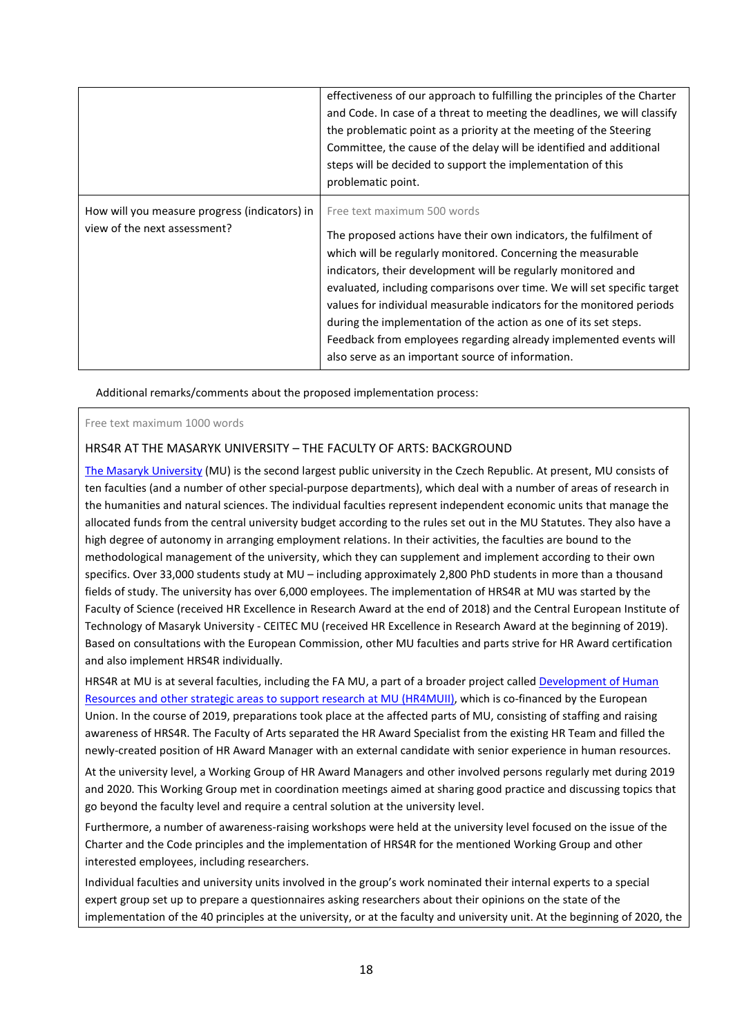|                                                                               | effectiveness of our approach to fulfilling the principles of the Charter<br>and Code. In case of a threat to meeting the deadlines, we will classify<br>the problematic point as a priority at the meeting of the Steering<br>Committee, the cause of the delay will be identified and additional<br>steps will be decided to support the implementation of this<br>problematic point.                                                                                                                                                                                             |
|-------------------------------------------------------------------------------|-------------------------------------------------------------------------------------------------------------------------------------------------------------------------------------------------------------------------------------------------------------------------------------------------------------------------------------------------------------------------------------------------------------------------------------------------------------------------------------------------------------------------------------------------------------------------------------|
| How will you measure progress (indicators) in<br>view of the next assessment? | Free text maximum 500 words<br>The proposed actions have their own indicators, the fulfilment of<br>which will be regularly monitored. Concerning the measurable<br>indicators, their development will be regularly monitored and<br>evaluated, including comparisons over time. We will set specific target<br>values for individual measurable indicators for the monitored periods<br>during the implementation of the action as one of its set steps.<br>Feedback from employees regarding already implemented events will<br>also serve as an important source of information. |

Additional remarks/comments about the proposed implementation process:

Free text maximum 1000 words

### HRS4R AT THE MASARYK UNIVERSITY – THE FACULTY OF ARTS: BACKGROUND

[The Masaryk University](https://www.muni.cz/en) (MU) is the second largest public university in the Czech Republic. At present, MU consists of ten faculties (and a number of other special-purpose departments), which deal with a number of areas of research in the humanities and natural sciences. The individual faculties represent independent economic units that manage the allocated funds from the central university budget according to the rules set out in the MU Statutes. They also have a high degree of autonomy in arranging employment relations. In their activities, the faculties are bound to the methodological management of the university, which they can supplement and implement according to their own specifics. Over 33,000 students study at MU – including approximately 2,800 PhD students in more than a thousand fields of study. The university has over 6,000 employees. The implementation of HRS4R at MU was started by the Faculty of Science (received HR Excellence in Research Award at the end of 2018) and the Central European Institute of Technology of Masaryk University - CEITEC MU (received HR Excellence in Research Award at the beginning of 2019). Based on consultations with the European Commission, other MU faculties and parts strive for HR Award certification and also implement HRS4R individually.

HRS4R at MU is at several faculties, including the FA MU, a part of a broader project called Development of Human [Resources and other strategic areas to support research at MU \(HR4MUII\),](https://www.muni.cz/en/research/projects/51007) which is co-financed by the European Union. In the course of 2019, preparations took place at the affected parts of MU, consisting of staffing and raising awareness of HRS4R. The Faculty of Arts separated the HR Award Specialist from the existing HR Team and filled the newly-created position of HR Award Manager with an external candidate with senior experience in human resources.

At the university level, a Working Group of HR Award Managers and other involved persons regularly met during 2019 and 2020. This Working Group met in coordination meetings aimed at sharing good practice and discussing topics that go beyond the faculty level and require a central solution at the university level.

Furthermore, a number of awareness-raising workshops were held at the university level focused on the issue of the Charter and the Code principles and the implementation of HRS4R for the mentioned Working Group and other interested employees, including researchers.

Individual faculties and university units involved in the group's work nominated their internal experts to a special expert group set up to prepare a questionnaires asking researchers about their opinions on the state of the implementation of the 40 principles at the university, or at the faculty and university unit. At the beginning of 2020, the